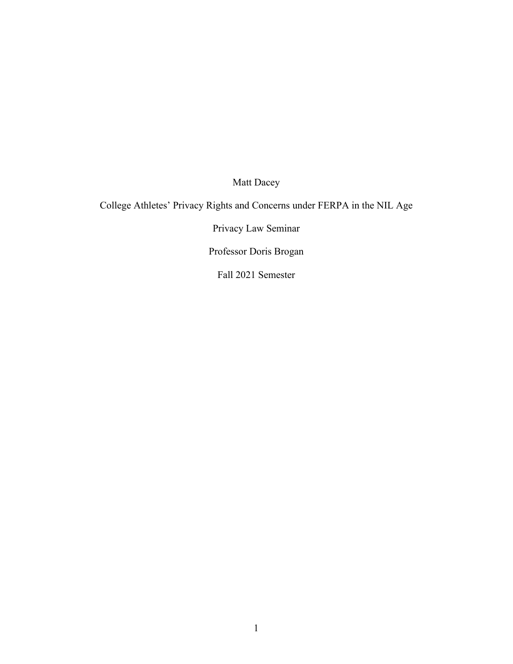Matt Dacey

College Athletes' Privacy Rights and Concerns under FERPA in the NIL Age

Privacy Law Seminar

Professor Doris Brogan

Fall 2021 Semester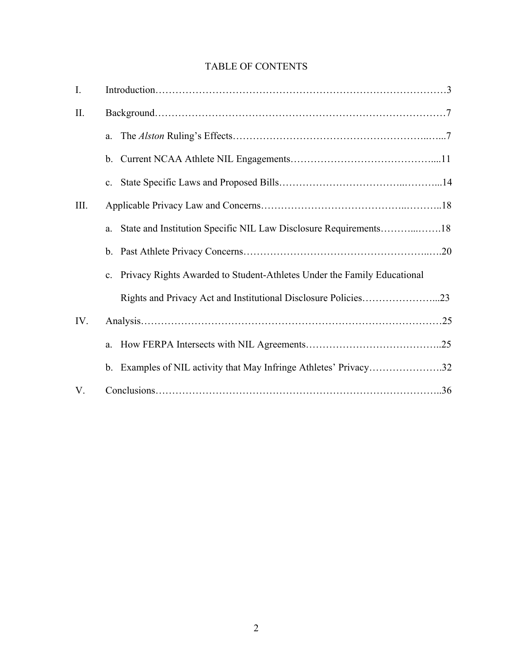# TABLE OF CONTENTS

| I.   |                                                                            |  |
|------|----------------------------------------------------------------------------|--|
| Π.   |                                                                            |  |
|      | a.                                                                         |  |
|      |                                                                            |  |
|      | c.                                                                         |  |
| III. |                                                                            |  |
|      | a.                                                                         |  |
|      |                                                                            |  |
|      | c. Privacy Rights Awarded to Student-Athletes Under the Family Educational |  |
|      |                                                                            |  |
| IV.  |                                                                            |  |
|      |                                                                            |  |
|      | b. Examples of NIL activity that May Infringe Athletes' Privacy32          |  |
| V.   |                                                                            |  |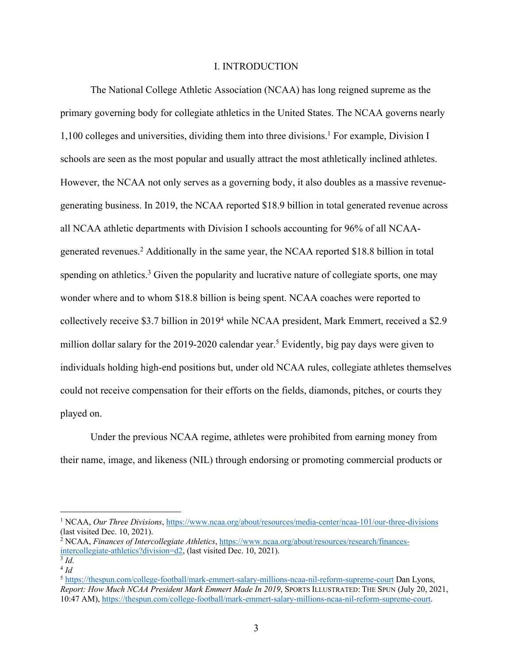### I. INTRODUCTION

The National College Athletic Association (NCAA) has long reigned supreme as the primary governing body for collegiate athletics in the United States. The NCAA governs nearly  $1,100$  colleges and universities, dividing them into three divisions.<sup>1</sup> For example, Division I schools are seen as the most popular and usually attract the most athletically inclined athletes. However, the NCAA not only serves as a governing body, it also doubles as a massive revenuegenerating business. In 2019, the NCAA reported \$18.9 billion in total generated revenue across all NCAA athletic departments with Division I schools accounting for 96% of all NCAAgenerated revenues.2 Additionally in the same year, the NCAA reported \$18.8 billion in total spending on athletics.<sup>3</sup> Given the popularity and lucrative nature of collegiate sports, one may wonder where and to whom \$18.8 billion is being spent. NCAA coaches were reported to collectively receive \$3.7 billion in 20194 while NCAA president, Mark Emmert, received a \$2.9 million dollar salary for the 2019-2020 calendar year.<sup>5</sup> Evidently, big pay days were given to individuals holding high-end positions but, under old NCAA rules, collegiate athletes themselves could not receive compensation for their efforts on the fields, diamonds, pitches, or courts they played on.

Under the previous NCAA regime, athletes were prohibited from earning money from their name, image, and likeness (NIL) through endorsing or promoting commercial products or

<sup>1</sup> NCAA, *Our Three Divisions*, https://www.ncaa.org/about/resources/media-center/ncaa-101/our-three-divisions (last visited Dec. 10, 2021).

<sup>&</sup>lt;sup>2</sup> NCAA, *Finances of Intercollegiate Athletics*, https://www.ncaa.org/about/resources/research/financesintercollegiate-athletics?division=d2, (last visited Dec. 10, 2021). 3 *Id*. 4 *Id*

<sup>5</sup> https://thespun.com/college-football/mark-emmert-salary-millions-ncaa-nil-reform-supreme-court Dan Lyons, *Report: How Much NCAA President Mark Emmert Made In 2019*, SPORTS ILLUSTRATED: THE SPUN (July 20, 2021, 10:47 AM), https://thespun.com/college-football/mark-emmert-salary-millions-ncaa-nil-reform-supreme-court.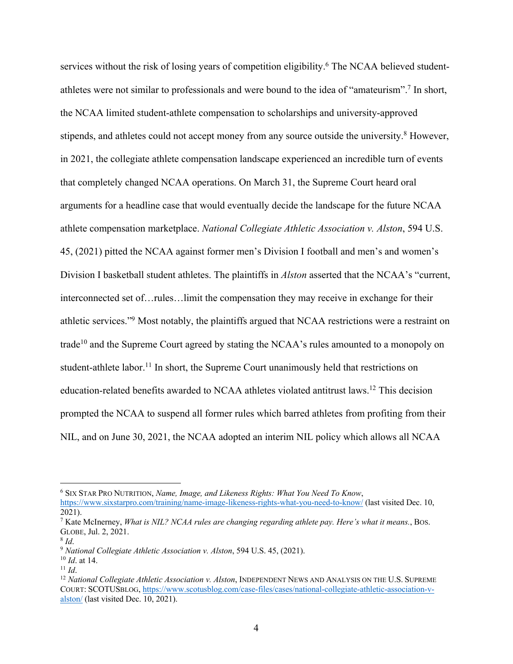services without the risk of losing years of competition eligibility.<sup>6</sup> The NCAA believed studentathletes were not similar to professionals and were bound to the idea of "amateurism".7 In short, the NCAA limited student-athlete compensation to scholarships and university-approved stipends, and athletes could not accept money from any source outside the university.<sup>8</sup> However, in 2021, the collegiate athlete compensation landscape experienced an incredible turn of events that completely changed NCAA operations. On March 31, the Supreme Court heard oral arguments for a headline case that would eventually decide the landscape for the future NCAA athlete compensation marketplace. *National Collegiate Athletic Association v. Alston*, 594 U.S. 45, (2021) pitted the NCAA against former men's Division I football and men's and women's Division I basketball student athletes. The plaintiffs in *Alston* asserted that the NCAA's "current, interconnected set of…rules…limit the compensation they may receive in exchange for their athletic services."9 Most notably, the plaintiffs argued that NCAA restrictions were a restraint on trade<sup>10</sup> and the Supreme Court agreed by stating the NCAA's rules amounted to a monopoly on student-athlete labor.<sup>11</sup> In short, the Supreme Court unanimously held that restrictions on education-related benefits awarded to NCAA athletes violated antitrust laws.12 This decision prompted the NCAA to suspend all former rules which barred athletes from profiting from their NIL, and on June 30, 2021, the NCAA adopted an interim NIL policy which allows all NCAA

<sup>6</sup> SIX STAR PRO NUTRITION, *Name, Image, and Likeness Rights: What You Need To Know*,

https://www.sixstarpro.com/training/name-image-likeness-rights-what-you-need-to-know/ (last visited Dec. 10, 2021).

<sup>7</sup> Kate McInerney, *What is NIL? NCAA rules are changing regarding athlete pay. Here's what it means.*, BOS. GLOBE, Jul. 2, 2021. 8 *Id*.

<sup>9</sup> *National Collegiate Athletic Association v. Alston*, 594 U.S. 45, (2021).

<sup>&</sup>lt;sup>10</sup> *Id.* at 14.<br><sup>11</sup> *Id.* 12 *National Collegiate Athletic Association v. Alston*, INDEPENDENT NEWS AND ANALYSIS ON THE U.S. SUPREME COURT: SCOTUSBLOG, https://www.scotusblog.com/case-files/cases/national-collegiate-athletic-association-valston/ (last visited Dec. 10, 2021).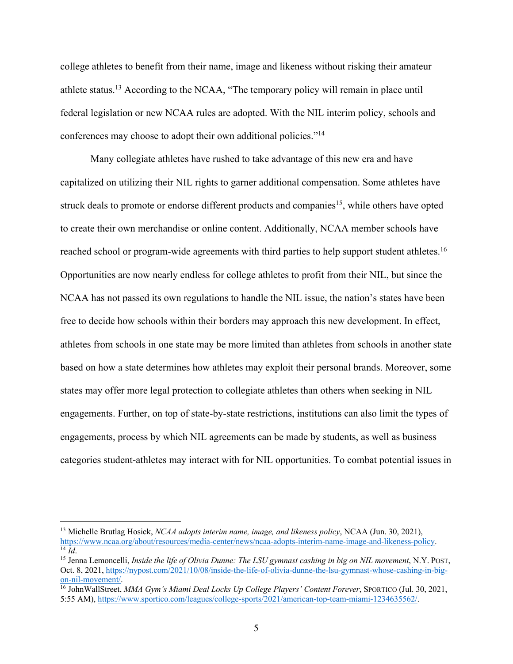college athletes to benefit from their name, image and likeness without risking their amateur athlete status.<sup>13</sup> According to the NCAA, "The temporary policy will remain in place until federal legislation or new NCAA rules are adopted. With the NIL interim policy, schools and conferences may choose to adopt their own additional policies."14

Many collegiate athletes have rushed to take advantage of this new era and have capitalized on utilizing their NIL rights to garner additional compensation. Some athletes have struck deals to promote or endorse different products and companies<sup>15</sup>, while others have opted to create their own merchandise or online content. Additionally, NCAA member schools have reached school or program-wide agreements with third parties to help support student athletes.<sup>16</sup> Opportunities are now nearly endless for college athletes to profit from their NIL, but since the NCAA has not passed its own regulations to handle the NIL issue, the nation's states have been free to decide how schools within their borders may approach this new development. In effect, athletes from schools in one state may be more limited than athletes from schools in another state based on how a state determines how athletes may exploit their personal brands. Moreover, some states may offer more legal protection to collegiate athletes than others when seeking in NIL engagements. Further, on top of state-by-state restrictions, institutions can also limit the types of engagements, process by which NIL agreements can be made by students, as well as business categories student-athletes may interact with for NIL opportunities. To combat potential issues in

<sup>&</sup>lt;sup>13</sup> Michelle Brutlag Hosick, *NCAA adopts interim name, image, and likeness policy*, NCAA (Jun. 30, 2021),<br>https://www.ncaa.org/about/resources/media-center/news/ncaa-adopts-interim-name-image-and-likeness-policy.  $\frac{14}{14}$  *Id.*<br><sup>15</sup> Jenna Lemoncelli, *Inside the life of Olivia Dunne: The LSU gymnast cashing in big on NIL movement, N.Y. POST,* 

Oct. 8, 2021, https://nypost.com/2021/10/08/inside-the-life-of-olivia-dunne-the-lsu-gymnast-whose-cashing-in-bigon-nil-movement/. 16 JohnWallStreet, *MMA Gym's Miami Deal Locks Up College Players' Content Forever*, SPORTICO (Jul. 30, 2021,

<sup>5:55</sup> AM), https://www.sportico.com/leagues/college-sports/2021/american-top-team-miami-1234635562/.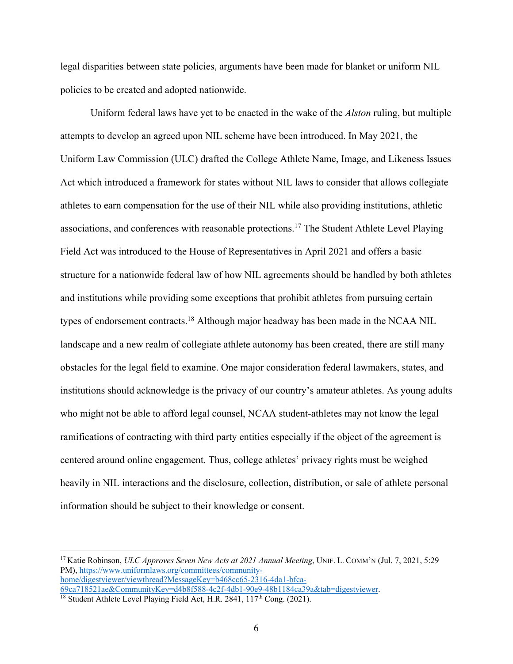legal disparities between state policies, arguments have been made for blanket or uniform NIL policies to be created and adopted nationwide.

Uniform federal laws have yet to be enacted in the wake of the *Alston* ruling, but multiple attempts to develop an agreed upon NIL scheme have been introduced. In May 2021, the Uniform Law Commission (ULC) drafted the College Athlete Name, Image, and Likeness Issues Act which introduced a framework for states without NIL laws to consider that allows collegiate athletes to earn compensation for the use of their NIL while also providing institutions, athletic associations, and conferences with reasonable protections.17 The Student Athlete Level Playing Field Act was introduced to the House of Representatives in April 2021 and offers a basic structure for a nationwide federal law of how NIL agreements should be handled by both athletes and institutions while providing some exceptions that prohibit athletes from pursuing certain types of endorsement contracts.18 Although major headway has been made in the NCAA NIL landscape and a new realm of collegiate athlete autonomy has been created, there are still many obstacles for the legal field to examine. One major consideration federal lawmakers, states, and institutions should acknowledge is the privacy of our country's amateur athletes. As young adults who might not be able to afford legal counsel, NCAA student-athletes may not know the legal ramifications of contracting with third party entities especially if the object of the agreement is centered around online engagement. Thus, college athletes' privacy rights must be weighed heavily in NIL interactions and the disclosure, collection, distribution, or sale of athlete personal information should be subject to their knowledge or consent.

<sup>17</sup> Katie Robinson, *ULC Approves Seven New Acts at 2021 Annual Meeting*, UNIF. L. COMM'N (Jul. 7, 2021, 5:29 PM), https://www.uniformlaws.org/committees/communityhome/digestviewer/viewthread?MessageKey=b468cc65-2316-4da1-bfca-

<sup>69</sup>ca718521ae&CommunityKey=d4b8f588-4c2f-4db1-90e9-48b1184ca39a&tab=digestviewer. 18 Student Athlete Level Playing Field Act, H.R. 2841, 117th Cong. (2021).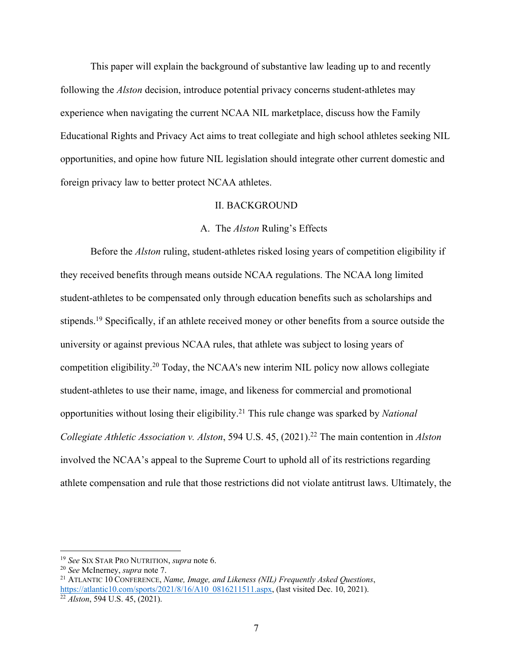This paper will explain the background of substantive law leading up to and recently following the *Alston* decision, introduce potential privacy concerns student-athletes may experience when navigating the current NCAA NIL marketplace, discuss how the Family Educational Rights and Privacy Act aims to treat collegiate and high school athletes seeking NIL opportunities, and opine how future NIL legislation should integrate other current domestic and foreign privacy law to better protect NCAA athletes.

### II. BACKGROUND

### A. The *Alston* Ruling's Effects

Before the *Alston* ruling, student-athletes risked losing years of competition eligibility if they received benefits through means outside NCAA regulations. The NCAA long limited student-athletes to be compensated only through education benefits such as scholarships and stipends.<sup>19</sup> Specifically, if an athlete received money or other benefits from a source outside the university or against previous NCAA rules, that athlete was subject to losing years of competition eligibility. <sup>20</sup> Today, the NCAA's new interim NIL policy now allows collegiate student-athletes to use their name, image, and likeness for commercial and promotional opportunities without losing their eligibility.21 This rule change was sparked by *National Collegiate Athletic Association v. Alston*, 594 U.S. 45, (2021). <sup>22</sup> The main contention in *Alston* involved the NCAA's appeal to the Supreme Court to uphold all of its restrictions regarding athlete compensation and rule that those restrictions did not violate antitrust laws. Ultimately, the

<sup>19</sup> *See* SIX STAR PRO NUTRITION, *supra* note 6.

<sup>&</sup>lt;sup>21</sup> ATLANTIC 10 CONFERENCE, *Name, Image, and Likeness (NIL) Frequently Asked Questions*, https://atlantic10.com/sports/2021/8/16/A10\_0816211511.aspx, (last visited Dec. 10, 2021).<br><sup>22</sup> *Alston*, 594 U.S. 45, (2021).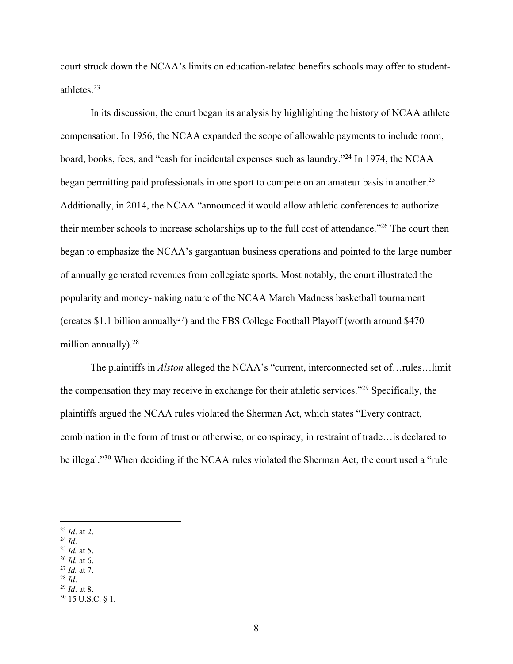court struck down the NCAA's limits on education-related benefits schools may offer to studentathletes. 23

In its discussion, the court began its analysis by highlighting the history of NCAA athlete compensation. In 1956, the NCAA expanded the scope of allowable payments to include room, board, books, fees, and "cash for incidental expenses such as laundry."24 In 1974, the NCAA began permitting paid professionals in one sport to compete on an amateur basis in another.<sup>25</sup> Additionally, in 2014, the NCAA "announced it would allow athletic conferences to authorize their member schools to increase scholarships up to the full cost of attendance."26 The court then began to emphasize the NCAA's gargantuan business operations and pointed to the large number of annually generated revenues from collegiate sports. Most notably, the court illustrated the popularity and money-making nature of the NCAA March Madness basketball tournament (creates \$1.1 billion annually<sup>27</sup>) and the FBS College Football Playoff (worth around \$470 million annually).<sup>28</sup>

The plaintiffs in *Alston* alleged the NCAA's "current, interconnected set of…rules…limit the compensation they may receive in exchange for their athletic services."29 Specifically, the plaintiffs argued the NCAA rules violated the Sherman Act, which states "Every contract, combination in the form of trust or otherwise, or conspiracy, in restraint of trade…is declared to be illegal."<sup>30</sup> When deciding if the NCAA rules violated the Sherman Act, the court used a "rule"

- <sup>24</sup> *Id*. 25 *Id.* at 5.
- 
- 
- 

 $^{23}$  *Id.* at 2.<br><sup>24</sup> *Id.* 

<sup>26</sup> *Id.* at 6. 27 *Id.* at 7. 28 *Id*. 29 *Id*. at 8. 30 15 U.S.C. § 1.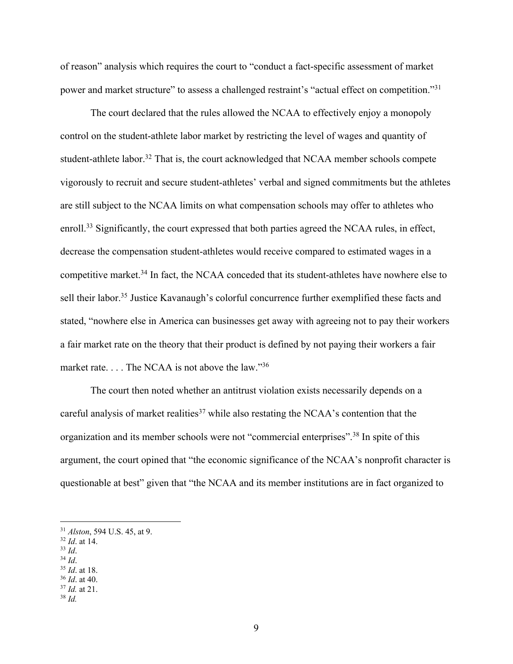of reason" analysis which requires the court to "conduct a fact-specific assessment of market power and market structure" to assess a challenged restraint's "actual effect on competition."31

The court declared that the rules allowed the NCAA to effectively enjoy a monopoly control on the student-athlete labor market by restricting the level of wages and quantity of student-athlete labor.<sup>32</sup> That is, the court acknowledged that NCAA member schools compete vigorously to recruit and secure student-athletes' verbal and signed commitments but the athletes are still subject to the NCAA limits on what compensation schools may offer to athletes who enroll.<sup>33</sup> Significantly, the court expressed that both parties agreed the NCAA rules, in effect, decrease the compensation student-athletes would receive compared to estimated wages in a competitive market.34 In fact, the NCAA conceded that its student-athletes have nowhere else to sell their labor.<sup>35</sup> Justice Kavanaugh's colorful concurrence further exemplified these facts and stated, "nowhere else in America can businesses get away with agreeing not to pay their workers a fair market rate on the theory that their product is defined by not paying their workers a fair market rate. . . . The NCAA is not above the law."36

The court then noted whether an antitrust violation exists necessarily depends on a careful analysis of market realities<sup>37</sup> while also restating the NCAA's contention that the organization and its member schools were not "commercial enterprises".38 In spite of this argument, the court opined that "the economic significance of the NCAA's nonprofit character is questionable at best" given that "the NCAA and its member institutions are in fact organized to

- 
- 
- 32 *Id*. at 14. 33 *Id*. 34 *Id*. 35 *Id*. at 18. 36 *Id*. at 40. 37 *Id.* at 21. 38 *Id.*
- 
- 

<sup>&</sup>lt;sup>31</sup> *Alston*, 594 U.S. 45, at 9.<br><sup>32</sup> *Id.* at 14.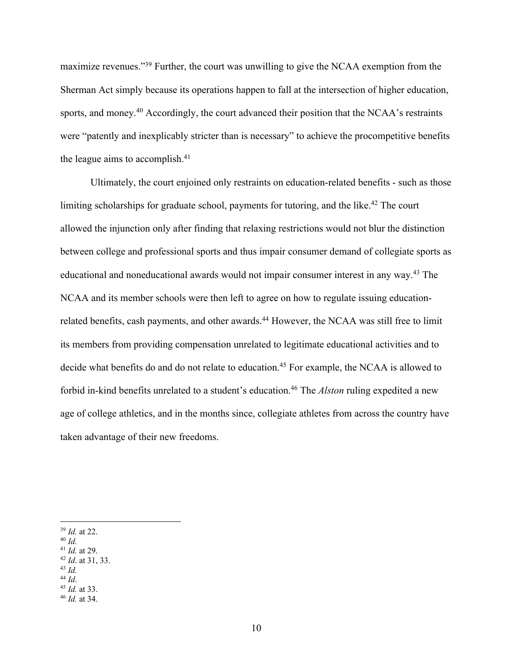maximize revenues."39 Further, the court was unwilling to give the NCAA exemption from the Sherman Act simply because its operations happen to fall at the intersection of higher education, sports, and money.<sup>40</sup> Accordingly, the court advanced their position that the NCAA's restraints were "patently and inexplicably stricter than is necessary" to achieve the procompetitive benefits the league aims to accomplish.41

Ultimately, the court enjoined only restraints on education-related benefits - such as those limiting scholarships for graduate school, payments for tutoring, and the like.<sup>42</sup> The court allowed the injunction only after finding that relaxing restrictions would not blur the distinction between college and professional sports and thus impair consumer demand of collegiate sports as educational and noneducational awards would not impair consumer interest in any way. <sup>43</sup> The NCAA and its member schools were then left to agree on how to regulate issuing educationrelated benefits, cash payments, and other awards.<sup>44</sup> However, the NCAA was still free to limit its members from providing compensation unrelated to legitimate educational activities and to decide what benefits do and do not relate to education.<sup>45</sup> For example, the NCAA is allowed to forbid in-kind benefits unrelated to a student's education.46 The *Alston* ruling expedited a new age of college athletics, and in the months since, collegiate athletes from across the country have taken advantage of their new freedoms.

<sup>&</sup>lt;sup>39</sup> *Id.* at 22.<br><sup>40</sup> *Id.* 41 *Id.* at 29.

<sup>41</sup> *Id.* at 29. 42 *Id*. at 31, 33. 43 *Id.*

<sup>44</sup> *Id*. 45 *Id.* at 33. 46 *Id.* at 34.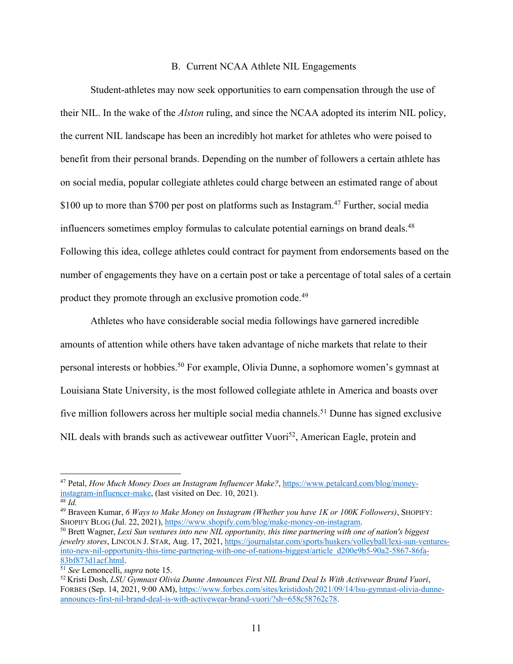### B. Current NCAA Athlete NIL Engagements

Student-athletes may now seek opportunities to earn compensation through the use of their NIL. In the wake of the *Alston* ruling, and since the NCAA adopted its interim NIL policy, the current NIL landscape has been an incredibly hot market for athletes who were poised to benefit from their personal brands. Depending on the number of followers a certain athlete has on social media, popular collegiate athletes could charge between an estimated range of about \$100 up to more than \$700 per post on platforms such as Instagram.<sup>47</sup> Further, social media influencers sometimes employ formulas to calculate potential earnings on brand deals.<sup>48</sup> Following this idea, college athletes could contract for payment from endorsements based on the number of engagements they have on a certain post or take a percentage of total sales of a certain product they promote through an exclusive promotion code.49

Athletes who have considerable social media followings have garnered incredible amounts of attention while others have taken advantage of niche markets that relate to their personal interests or hobbies.50 For example, Olivia Dunne, a sophomore women's gymnast at Louisiana State University, is the most followed collegiate athlete in America and boasts over five million followers across her multiple social media channels.<sup>51</sup> Dunne has signed exclusive NIL deals with brands such as activewear outfitter Vuori<sup>52</sup>, American Eagle, protein and

<sup>47</sup> Petal, *How Much Money Does an Instagram Influencer Make?*, https://www.petalcard.com/blog/moneyinstagram-influencer-make, (last visited on Dec. 10, 2021). 48 *Id.*

<sup>49</sup> Braveen Kumar, *6 Ways to Make Money on Instagram (Whether you have 1K or 100K Followers)*, SHOPIFY: SHOPIFY BLOG (Jul. 22, 2021), https://www.shopify.com/blog/make-money-on-instagram.<br><sup>50</sup> Brett Wagner, *Lexi Sun ventures into new NIL opportunity, this time partnering with one of nation's biggest* 

*jewelry stores*, LINCOLN J. STAR, Aug. 17, 2021, https://journalstar.com/sports/huskers/volleyball/lexi-sun-venturesinto-new-nil-opportunity-this-time-partnering-with-one-of-nations-biggest/article\_d200e9b5-90a2-5867-86fa-83bf873d1acf.html. 51 *See* Lemoncelli, *supra* note 15. 52 Kristi Dosh, *LSU Gymnast Olivia Dunne Announces First NIL Brand Deal Is With Activewear Brand Vuori*,

FORBES (Sep. 14, 2021, 9:00 AM), https://www.forbes.com/sites/kristidosh/2021/09/14/lsu-gymnast-olivia-dunneannounces-first-nil-brand-deal-is-with-activewear-brand-vuori/?sh=658c58762c78.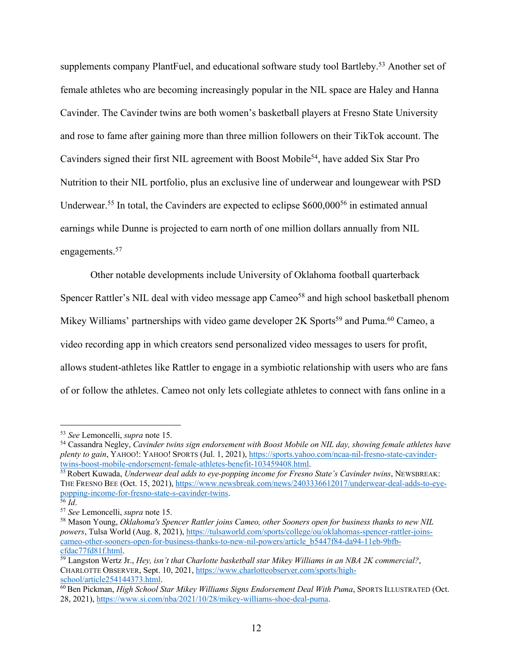supplements company PlantFuel, and educational software study tool Bartleby.<sup>53</sup> Another set of female athletes who are becoming increasingly popular in the NIL space are Haley and Hanna Cavinder. The Cavinder twins are both women's basketball players at Fresno State University and rose to fame after gaining more than three million followers on their TikTok account. The Cavinders signed their first NIL agreement with Boost Mobile<sup>54</sup>, have added Six Star Pro Nutrition to their NIL portfolio, plus an exclusive line of underwear and loungewear with PSD Underwear.<sup>55</sup> In total, the Cavinders are expected to eclipse  $$600,000^{56}$  in estimated annual earnings while Dunne is projected to earn north of one million dollars annually from NIL engagements.<sup>57</sup>

Other notable developments include University of Oklahoma football quarterback Spencer Rattler's NIL deal with video message app Cameo<sup>58</sup> and high school basketball phenom Mikey Williams' partnerships with video game developer 2K Sports<sup>59</sup> and Puma.<sup>60</sup> Cameo, a video recording app in which creators send personalized video messages to users for profit, allows student-athletes like Rattler to engage in a symbiotic relationship with users who are fans of or follow the athletes. Cameo not only lets collegiate athletes to connect with fans online in a

<sup>53</sup> *See* Lemoncelli, *supra* note 15. 54 Cassandra Negley, *Cavinder twins sign endorsement with Boost Mobile on NIL day, showing female athletes have plenty to gain*, YAHOO!: YAHOO! SPORTS (Jul. 1, 2021), https://sports.yahoo.com/ncaa-nil-fresno-state-cavinder-<br>twins-boost-mobile-endorsement-female-athletes-benefit-103459408.html.

<sup>&</sup>lt;sup>55</sup> Robert Kuwada, *Underwear deal adds to eye-popping income for Fresno State's Cavinder twins*, NEWSBREAK: THE FRESNO BEE (Oct. 15, 2021), https://www.newsbreak.com/news/2403336612017/underwear-deal-adds-to-eyepopping-income-for-fresno-state-s-cavinder-twins.<br>56 *Id*.

<sup>56</sup> *Id*. 57 *See* Lemoncelli, *supra* note 15.

<sup>58</sup> Mason Young, *Oklahoma's Spencer Rattler joins Cameo, other Sooners open for business thanks to new NIL powers*, Tulsa World (Aug. 8, 2021), https://tulsaworld.com/sports/college/ou/oklahomas-spencer-rattler-joinscameo-other-sooners-open-for-business-thanks-to-new-nil-powers/article\_b5447f84-da94-11eb-9bfbcfdac77fd81f.html. 59 Langston Wertz Jr., *Hey, isn't that Charlotte basketball star Mikey Williams in an NBA 2K commercial?*,

CHARLOTTE OBSERVER, Sept. 10, 2021, https://www.charlotteobserver.com/sports/high-school/article254144373.html.

 $\overline{60}$ Ben Pickman, *High School Star Mikey Williams Signs Endorsement Deal With Puma*, SPORTS ILLUSTRATED (Oct. 28, 2021), https://www.si.com/nba/2021/10/28/mikey-williams-shoe-deal-puma.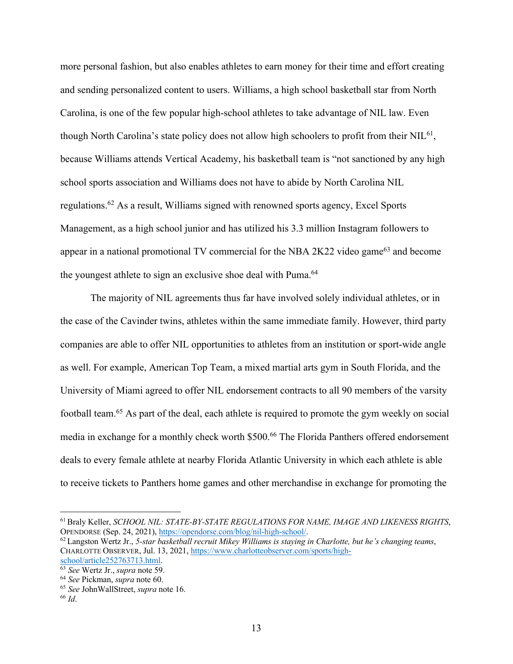more personal fashion, but also enables athletes to earn money for their time and effort creating and sending personalized content to users. Williams, a high school basketball star from North Carolina, is one of the few popular high-school athletes to take advantage of NIL law. Even though North Carolina's state policy does not allow high schoolers to profit from their  $NIL^{61}$ , because Williams attends Vertical Academy, his basketball team is "not sanctioned by any high school sports association and Williams does not have to abide by North Carolina NIL regulations.62 As a result, Williams signed with renowned sports agency, Excel Sports Management, as a high school junior and has utilized his 3.3 million Instagram followers to appear in a national promotional TV commercial for the NBA  $2K22$  video game<sup>63</sup> and become the youngest athlete to sign an exclusive shoe deal with Puma.<sup>64</sup>

The majority of NIL agreements thus far have involved solely individual athletes, or in the case of the Cavinder twins, athletes within the same immediate family. However, third party companies are able to offer NIL opportunities to athletes from an institution or sport-wide angle as well. For example, American Top Team, a mixed martial arts gym in South Florida, and the University of Miami agreed to offer NIL endorsement contracts to all 90 members of the varsity football team.65 As part of the deal, each athlete is required to promote the gym weekly on social media in exchange for a monthly check worth \$500.<sup>66</sup> The Florida Panthers offered endorsement deals to every female athlete at nearby Florida Atlantic University in which each athlete is able to receive tickets to Panthers home games and other merchandise in exchange for promoting the

<sup>&</sup>lt;sup>61</sup> Braly Keller, *SCHOOL NIL: STATE-BY-STATE REGULATIONS FOR NAME, IMAGE AND LIKENESS RIGHTS*, OPENDORSE (Sep. 24, 2021), https://opendorse.com/blog/nil-high-school/.

<sup>&</sup>lt;sup>62</sup> Langston Wertz Jr., 5-star basketball recruit Mikey Williams is staying in Charlotte, but he's changing teams, CHARLOTTE OBSERVER, Jul. 13, 2021, https://www.charlotteobserver.com/sports/high-

school/article252763713.html. 63 *See* Wertz Jr., *supra* note 59.

<sup>64</sup> *See* Pickman, *supra* note 60. 65 *See* JohnWallStreet, *supra* note 16. 66 *Id*.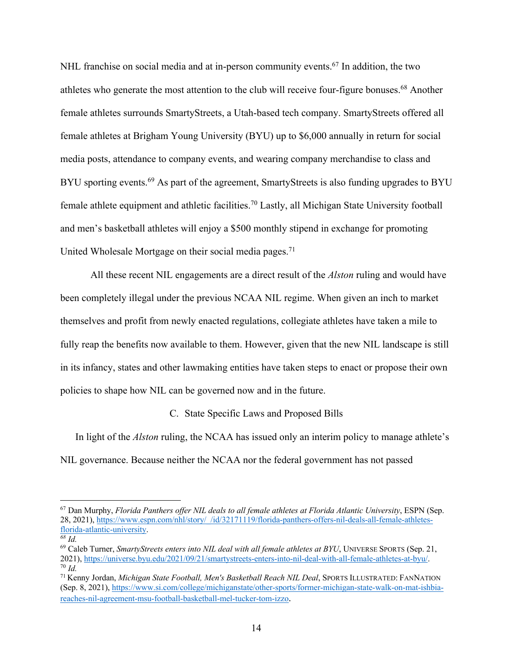NHL franchise on social media and at in-person community events.<sup>67</sup> In addition, the two athletes who generate the most attention to the club will receive four-figure bonuses.68 Another female athletes surrounds SmartyStreets, a Utah-based tech company. SmartyStreets offered all female athletes at Brigham Young University (BYU) up to \$6,000 annually in return for social media posts, attendance to company events, and wearing company merchandise to class and BYU sporting events.<sup>69</sup> As part of the agreement, SmartyStreets is also funding upgrades to BYU female athlete equipment and athletic facilities.70 Lastly, all Michigan State University football and men's basketball athletes will enjoy a \$500 monthly stipend in exchange for promoting United Wholesale Mortgage on their social media pages.<sup>71</sup>

All these recent NIL engagements are a direct result of the *Alston* ruling and would have been completely illegal under the previous NCAA NIL regime. When given an inch to market themselves and profit from newly enacted regulations, collegiate athletes have taken a mile to fully reap the benefits now available to them. However, given that the new NIL landscape is still in its infancy, states and other lawmaking entities have taken steps to enact or propose their own policies to shape how NIL can be governed now and in the future.

C. State Specific Laws and Proposed Bills

In light of the *Alston* ruling, the NCAA has issued only an interim policy to manage athlete's NIL governance. Because neither the NCAA nor the federal government has not passed

<sup>67</sup> Dan Murphy, *Florida Panthers offer NIL deals to all female athletes at Florida Atlantic University*, ESPN (Sep. 28, 2021), https://www.espn.com/nhl/story/\_/id/32171119/florida-panthers-offers-nil-deals-all-female-athletesflorida-atlantic-university.

*<sup>68</sup> Id.* 

<sup>69</sup> Caleb Turner, *SmartyStreets enters into NIL deal with all female athletes at BYU*, UNIVERSE SPORTS (Sep. 21, 2021), https://universe.byu.edu/2021/09/21/smartystreets-enters-into-nil-deal-with-all-female-athletes-at-byu/. 70 *Id.*

<sup>71</sup> Kenny Jordan, *Michigan State Football, Men's Basketball Reach NIL Deal*, SPORTS ILLUSTRATED: FANNATION (Sep. 8, 2021), https://www.si.com/college/michiganstate/other-sports/former-michigan-state-walk-on-mat-ishbiareaches-nil-agreement-msu-football-basketball-mel-tucker-tom-izzo.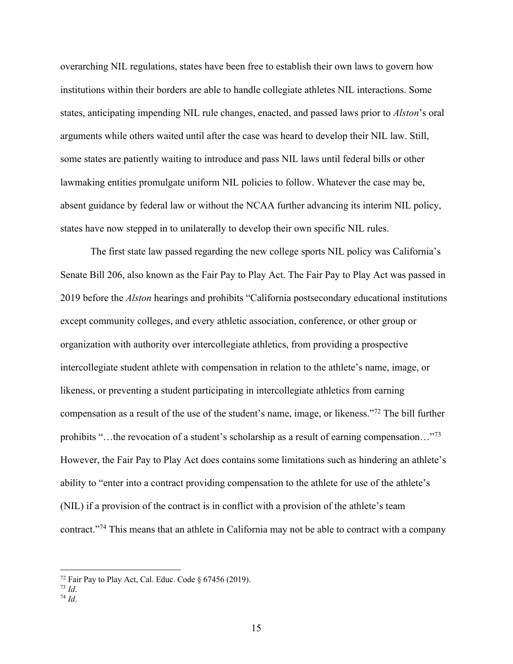overarching NIL regulations, states have been free to establish their own laws to govern how institutions within their borders are able to handle collegiate athletes NIL interactions. Some states, anticipating impending NIL rule changes, enacted, and passed laws prior to *Alston*'s oral arguments while others waited until after the case was heard to develop their NIL law. Still, some states are patiently waiting to introduce and pass NIL laws until federal bills or other lawmaking entities promulgate uniform NIL policies to follow. Whatever the case may be, absent guidance by federal law or without the NCAA further advancing its interim NIL policy, states have now stepped in to unilaterally to develop their own specific NIL rules.

The first state law passed regarding the new college sports NIL policy was California's Senate Bill 206, also known as the Fair Pay to Play Act. The Fair Pay to Play Act was passed in 2019 before the *Alston* hearings and prohibits "California postsecondary educational institutions except community colleges, and every athletic association, conference, or other group or organization with authority over intercollegiate athletics, from providing a prospective intercollegiate student athlete with compensation in relation to the athlete's name, image, or likeness, or preventing a student participating in intercollegiate athletics from earning compensation as a result of the use of the student's name, image, or likeness."72 The bill further prohibits "…the revocation of a student's scholarship as a result of earning compensation…"73 However, the Fair Pay to Play Act does contains some limitations such as hindering an athlete's ability to "enter into a contract providing compensation to the athlete for use of the athlete's (NIL) if a provision of the contract is in conflict with a provision of the athlete's team contract."74 This means that an athlete in California may not be able to contract with a company

<sup>72</sup> Fair Pay to Play Act, Cal. Educ. Code § 67456 (2019). 73 *Id*. 74 *Id*.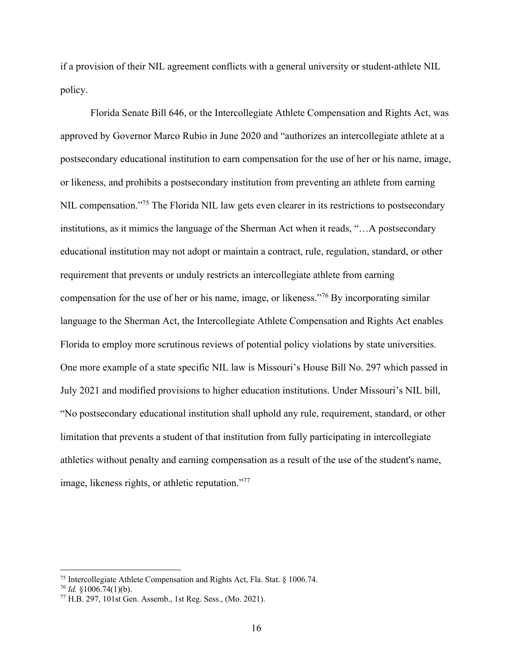if a provision of their NIL agreement conflicts with a general university or student-athlete NIL policy.

Florida Senate Bill 646, or the Intercollegiate Athlete Compensation and Rights Act, was approved by Governor Marco Rubio in June 2020 and "authorizes an intercollegiate athlete at a postsecondary educational institution to earn compensation for the use of her or his name, image, or likeness, and prohibits a postsecondary institution from preventing an athlete from earning NIL compensation."<sup>75</sup> The Florida NIL law gets even clearer in its restrictions to postsecondary institutions, as it mimics the language of the Sherman Act when it reads, "…A postsecondary educational institution may not adopt or maintain a contract, rule, regulation, standard, or other requirement that prevents or unduly restricts an intercollegiate athlete from earning compensation for the use of her or his name, image, or likeness."76 By incorporating similar language to the Sherman Act, the Intercollegiate Athlete Compensation and Rights Act enables Florida to employ more scrutinous reviews of potential policy violations by state universities. One more example of a state specific NIL law is Missouri's House Bill No. 297 which passed in July 2021 and modified provisions to higher education institutions. Under Missouri's NIL bill, "No postsecondary educational institution shall uphold any rule, requirement, standard, or other limitation that prevents a student of that institution from fully participating in intercollegiate athletics without penalty and earning compensation as a result of the use of the student's name, image, likeness rights, or athletic reputation."77

<sup>75</sup> Intercollegiate Athlete Compensation and Rights Act, Fla. Stat. § 1006.74.

<sup>76</sup> *Id.* §1006.74(1)(b).

<sup>77</sup> H.B. 297, 101st Gen. Assemb., 1st Reg. Sess., (Mo. 2021).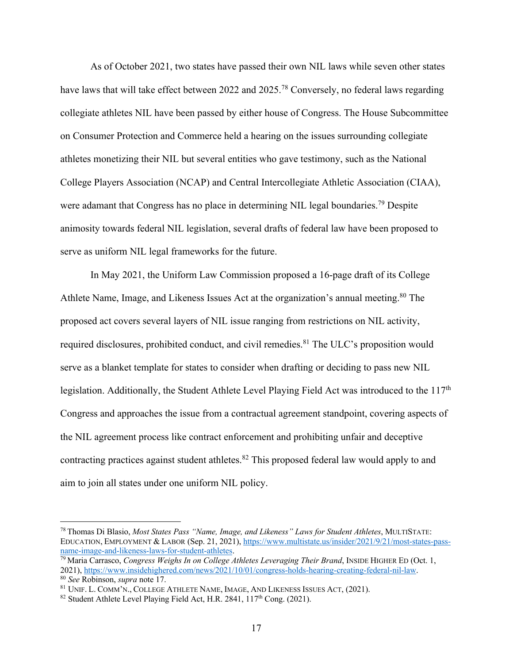As of October 2021, two states have passed their own NIL laws while seven other states have laws that will take effect between 2022 and 2025.<sup>78</sup> Conversely, no federal laws regarding collegiate athletes NIL have been passed by either house of Congress. The House Subcommittee on Consumer Protection and Commerce held a hearing on the issues surrounding collegiate athletes monetizing their NIL but several entities who gave testimony, such as the National College Players Association (NCAP) and Central Intercollegiate Athletic Association (CIAA), were adamant that Congress has no place in determining NIL legal boundaries.<sup>79</sup> Despite animosity towards federal NIL legislation, several drafts of federal law have been proposed to serve as uniform NIL legal frameworks for the future.

In May 2021, the Uniform Law Commission proposed a 16-page draft of its College Athlete Name, Image, and Likeness Issues Act at the organization's annual meeting.80 The proposed act covers several layers of NIL issue ranging from restrictions on NIL activity, required disclosures, prohibited conduct, and civil remedies.<sup>81</sup> The ULC's proposition would serve as a blanket template for states to consider when drafting or deciding to pass new NIL legislation. Additionally, the Student Athlete Level Playing Field Act was introduced to the 117<sup>th</sup> Congress and approaches the issue from a contractual agreement standpoint, covering aspects of the NIL agreement process like contract enforcement and prohibiting unfair and deceptive contracting practices against student athletes.<sup>82</sup> This proposed federal law would apply to and aim to join all states under one uniform NIL policy.

<sup>78</sup> Thomas Di Blasio, *Most States Pass "Name, Image, and Likeness" Laws for Student Athletes*, MULTISTATE: EDUCATION, EMPLOYMENT & LABOR (Sep. 21, 2021), https://www.multistate.us/insider/2021/9/21/most-states-pass-

name-image-and-likeness-laws-for-student-athletes.<br><sup>79</sup> Maria Carrasco, *Congress Weighs In on College Athletes Leveraging Their Brand*, INSIDE HIGHER ED (Oct. 1,<br>2021), https://www.insidehighered.com/news/2021/10/01/congr <sup>80</sup> See Robinson, *supra* note 17.<br><sup>81</sup> UNIF. L. COMM'N., COLLEGE ATHLETE NAME, IMAGE, AND LIKENESS ISSUES ACT, (2021).<br><sup>82</sup> Student Athlete Level Playing Field Act, H.R. 2841, 117<sup>th</sup> Cong. (2021).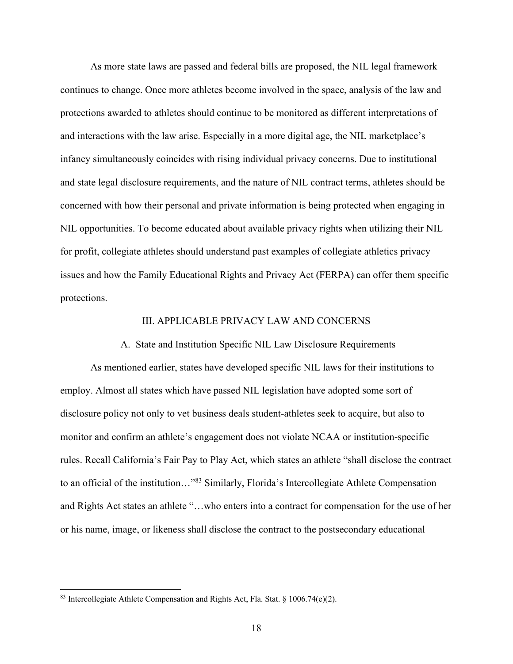As more state laws are passed and federal bills are proposed, the NIL legal framework continues to change. Once more athletes become involved in the space, analysis of the law and protections awarded to athletes should continue to be monitored as different interpretations of and interactions with the law arise. Especially in a more digital age, the NIL marketplace's infancy simultaneously coincides with rising individual privacy concerns. Due to institutional and state legal disclosure requirements, and the nature of NIL contract terms, athletes should be concerned with how their personal and private information is being protected when engaging in NIL opportunities. To become educated about available privacy rights when utilizing their NIL for profit, collegiate athletes should understand past examples of collegiate athletics privacy issues and how the Family Educational Rights and Privacy Act (FERPA) can offer them specific protections.

### III. APPLICABLE PRIVACY LAW AND CONCERNS

A. State and Institution Specific NIL Law Disclosure Requirements

As mentioned earlier, states have developed specific NIL laws for their institutions to employ. Almost all states which have passed NIL legislation have adopted some sort of disclosure policy not only to vet business deals student-athletes seek to acquire, but also to monitor and confirm an athlete's engagement does not violate NCAA or institution-specific rules. Recall California's Fair Pay to Play Act, which states an athlete "shall disclose the contract to an official of the institution..."<sup>83</sup> Similarly, Florida's Intercollegiate Athlete Compensation and Rights Act states an athlete "…who enters into a contract for compensation for the use of her or his name, image, or likeness shall disclose the contract to the postsecondary educational

<sup>83</sup> Intercollegiate Athlete Compensation and Rights Act, Fla. Stat. § 1006.74(e)(2).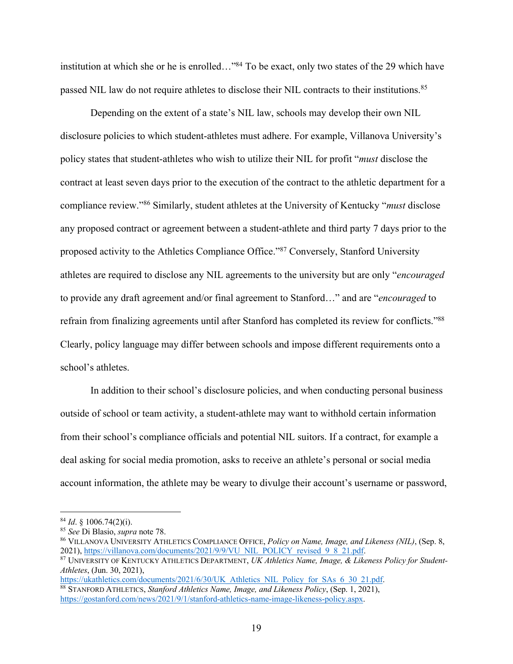institution at which she or he is enrolled…"84 To be exact, only two states of the 29 which have passed NIL law do not require athletes to disclose their NIL contracts to their institutions.<sup>85</sup>

Depending on the extent of a state's NIL law, schools may develop their own NIL disclosure policies to which student-athletes must adhere. For example, Villanova University's policy states that student-athletes who wish to utilize their NIL for profit "*must* disclose the contract at least seven days prior to the execution of the contract to the athletic department for a compliance review."86 Similarly, student athletes at the University of Kentucky "*must* disclose any proposed contract or agreement between a student-athlete and third party 7 days prior to the proposed activity to the Athletics Compliance Office."87 Conversely, Stanford University athletes are required to disclose any NIL agreements to the university but are only "*encouraged* to provide any draft agreement and/or final agreement to Stanford…" and are "*encouraged* to refrain from finalizing agreements until after Stanford has completed its review for conflicts."88 Clearly, policy language may differ between schools and impose different requirements onto a school's athletes.

In addition to their school's disclosure policies, and when conducting personal business outside of school or team activity, a student-athlete may want to withhold certain information from their school's compliance officials and potential NIL suitors. If a contract, for example a deal asking for social media promotion, asks to receive an athlete's personal or social media account information, the athlete may be weary to divulge their account's username or password,

<sup>&</sup>lt;sup>84</sup> *Id.* § 1006.74(2)(i).<br><sup>85</sup> *See* Di Blasio, *supra* note 78.

<sup>&</sup>lt;sup>86</sup> VILLANOVA UNIVERSITY ATHLETICS COMPLIANCE OFFICE, *Policy on Name, Image, and Likeness (NIL)*, (Sep. 8, 2021), https://villanova.com/documents/2021/9/9/VU NIL POLICY revised 9 8 21.pdf.

<sup>&</sup>lt;sup>87</sup> UNIVERSITY OF KENTUCKY ATHLETICS DEPARTMENT, *UK Athletics Name, Image, & Likeness Policy for Student-Athletes*, (Jun. 30, 2021),<br>https://ukathletics.com/documents/2021/6/30/UK Athletics NIL Policy for SAs 6 30 21.pdf.

<sup>&</sup>lt;sup>88</sup> STANFORD ATHLETICS, *Stanford Athletics Name, Image, and Likeness Policy*, (Sep. 1, 2021), https://gostanford.com/news/2021/9/1/stanford-athletics-name-image-likeness-policy.aspx.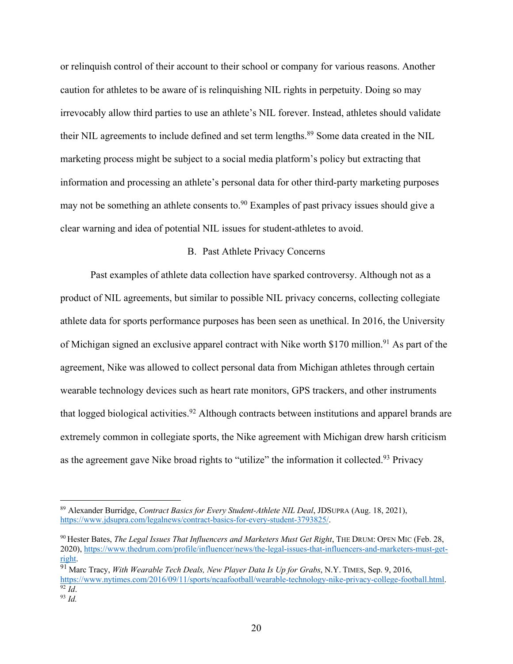or relinquish control of their account to their school or company for various reasons. Another caution for athletes to be aware of is relinquishing NIL rights in perpetuity. Doing so may irrevocably allow third parties to use an athlete's NIL forever. Instead, athletes should validate their NIL agreements to include defined and set term lengths.<sup>89</sup> Some data created in the NIL marketing process might be subject to a social media platform's policy but extracting that information and processing an athlete's personal data for other third-party marketing purposes may not be something an athlete consents to.<sup>90</sup> Examples of past privacy issues should give a clear warning and idea of potential NIL issues for student-athletes to avoid.

## B. Past Athlete Privacy Concerns

Past examples of athlete data collection have sparked controversy. Although not as a product of NIL agreements, but similar to possible NIL privacy concerns, collecting collegiate athlete data for sports performance purposes has been seen as unethical. In 2016, the University of Michigan signed an exclusive apparel contract with Nike worth \$170 million.<sup>91</sup> As part of the agreement, Nike was allowed to collect personal data from Michigan athletes through certain wearable technology devices such as heart rate monitors, GPS trackers, and other instruments that logged biological activities.<sup>92</sup> Although contracts between institutions and apparel brands are extremely common in collegiate sports, the Nike agreement with Michigan drew harsh criticism as the agreement gave Nike broad rights to "utilize" the information it collected.<sup>93</sup> Privacy

<sup>89</sup> Alexander Burridge, *Contract Basics for Every Student-Athlete NIL Deal*, JDSUPRA (Aug. 18, 2021), https://www.jdsupra.com/legalnews/contract-basics-for-every-student-3793825/.

<sup>90</sup> Hester Bates, *The Legal Issues That Influencers and Marketers Must Get Right*, THE DRUM: OPEN MIC (Feb. 28, 2020), https://www.thedrum.com/profile/influencer/news/the-legal-issues-that-influencers-and-marketers-must-getright. 91 Marc Tracy, *With Wearable Tech Deals, New Player Data Is Up for Grabs*, N.Y. TIMES, Sep. 9, 2016,

https://www.nytimes.com/2016/09/11/sports/ncaafootball/wearable-technology-nike-privacy-college-football.html. 92 *Id*. 93 *Id.*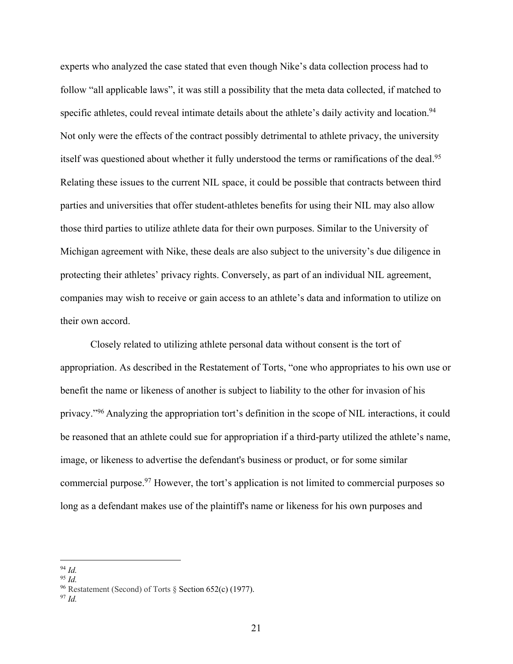experts who analyzed the case stated that even though Nike's data collection process had to follow "all applicable laws", it was still a possibility that the meta data collected, if matched to specific athletes, could reveal intimate details about the athlete's daily activity and location.<sup>94</sup> Not only were the effects of the contract possibly detrimental to athlete privacy, the university itself was questioned about whether it fully understood the terms or ramifications of the deal.<sup>95</sup> Relating these issues to the current NIL space, it could be possible that contracts between third parties and universities that offer student-athletes benefits for using their NIL may also allow those third parties to utilize athlete data for their own purposes. Similar to the University of Michigan agreement with Nike, these deals are also subject to the university's due diligence in protecting their athletes' privacy rights. Conversely, as part of an individual NIL agreement, companies may wish to receive or gain access to an athlete's data and information to utilize on their own accord.

Closely related to utilizing athlete personal data without consent is the tort of appropriation. As described in the Restatement of Torts, "one who appropriates to his own use or benefit the name or likeness of another is subject to liability to the other for invasion of his privacy."96 Analyzing the appropriation tort's definition in the scope of NIL interactions, it could be reasoned that an athlete could sue for appropriation if a third-party utilized the athlete's name, image, or likeness to advertise the defendant's business or product, or for some similar commercial purpose. <sup>97</sup> However, the tort's application is not limited to commercial purposes so long as a defendant makes use of the plaintiff's name or likeness for his own purposes and

<sup>94</sup> *Id.* 

<sup>95</sup> *Id.*

<sup>96</sup> Restatement (Second) of Torts § Section 652(c) (1977). 97 *Id.*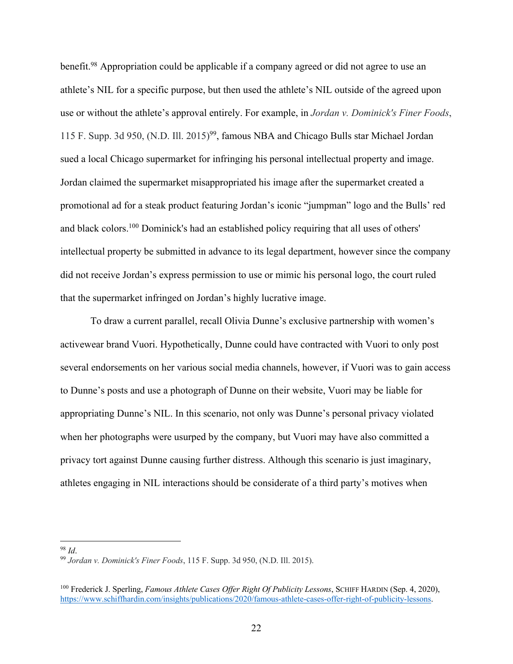benefit.<sup>98</sup> Appropriation could be applicable if a company agreed or did not agree to use an athlete's NIL for a specific purpose, but then used the athlete's NIL outside of the agreed upon use or without the athlete's approval entirely. For example, in *Jordan v. Dominick's Finer Foods*, 115 F. Supp. 3d 950, (N.D. Ill. 2015)99, famous NBA and Chicago Bulls star Michael Jordan sued a local Chicago supermarket for infringing his personal intellectual property and image. Jordan claimed the supermarket misappropriated his image after the supermarket created a promotional ad for a steak product featuring Jordan's iconic "jumpman" logo and the Bulls' red and black colors.100 Dominick's had an established policy requiring that all uses of others' intellectual property be submitted in advance to its legal department, however since the company did not receive Jordan's express permission to use or mimic his personal logo, the court ruled that the supermarket infringed on Jordan's highly lucrative image.

To draw a current parallel, recall Olivia Dunne's exclusive partnership with women's activewear brand Vuori. Hypothetically, Dunne could have contracted with Vuori to only post several endorsements on her various social media channels, however, if Vuori was to gain access to Dunne's posts and use a photograph of Dunne on their website, Vuori may be liable for appropriating Dunne's NIL. In this scenario, not only was Dunne's personal privacy violated when her photographs were usurped by the company, but Vuori may have also committed a privacy tort against Dunne causing further distress. Although this scenario is just imaginary, athletes engaging in NIL interactions should be considerate of a third party's motives when

<sup>98</sup> *Id*. 99 *Jordan v. Dominick's Finer Foods*, 115 F. Supp. 3d 950, (N.D. Ill. 2015).

<sup>100</sup> Frederick J. Sperling, *Famous Athlete Cases Offer Right Of Publicity Lessons*, SCHIFF HARDIN (Sep. 4, 2020), https://www.schiffhardin.com/insights/publications/2020/famous-athlete-cases-offer-right-of-publicity-lessons.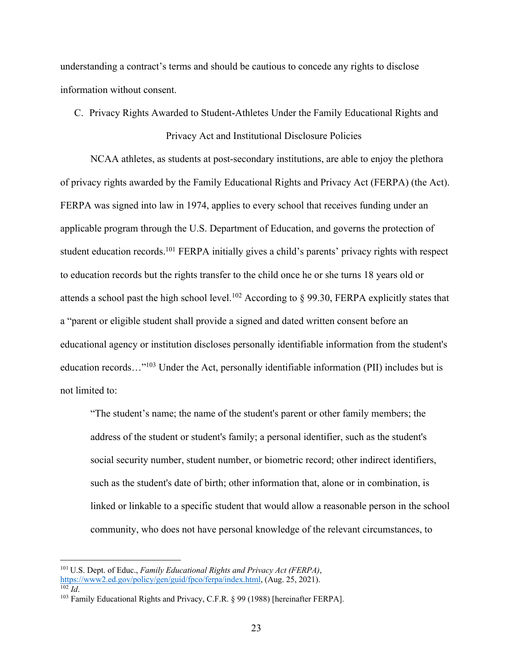understanding a contract's terms and should be cautious to concede any rights to disclose information without consent.

C. Privacy Rights Awarded to Student-Athletes Under the Family Educational Rights and

### Privacy Act and Institutional Disclosure Policies

NCAA athletes, as students at post-secondary institutions, are able to enjoy the plethora of privacy rights awarded by the Family Educational Rights and Privacy Act (FERPA) (the Act). FERPA was signed into law in 1974, applies to every school that receives funding under an applicable program through the U.S. Department of Education, and governs the protection of student education records.<sup>101</sup> FERPA initially gives a child's parents' privacy rights with respect to education records but the rights transfer to the child once he or she turns 18 years old or attends a school past the high school level.<sup>102</sup> According to  $\S$  99.30, FERPA explicitly states that a "parent or eligible student shall provide a signed and dated written consent before an educational agency or institution discloses personally identifiable information from the student's education records…"103 Under the Act, personally identifiable information (PII) includes but is not limited to:

"The student's name; the name of the student's parent or other family members; the address of the student or student's family; a personal identifier, such as the student's social security number, student number, or biometric record; other indirect identifiers, such as the student's date of birth; other information that, alone or in combination, is linked or linkable to a specific student that would allow a reasonable person in the school community, who does not have personal knowledge of the relevant circumstances, to

<sup>&</sup>lt;sup>101</sup> U.S. Dept. of Educ., *Family Educational Rights and Privacy Act (FERPA)*, https://www2.ed.gov/policy/gen/guid/fpco/ferpa/index.html, (Aug. 25, 2021).

 $\frac{102}{102}$  *Id.* 25, 2021). The set of the set of the set of the set of the set of the set of the set of the set of the set of the set of the set of the set of the set of the set of the set of the set of the set of the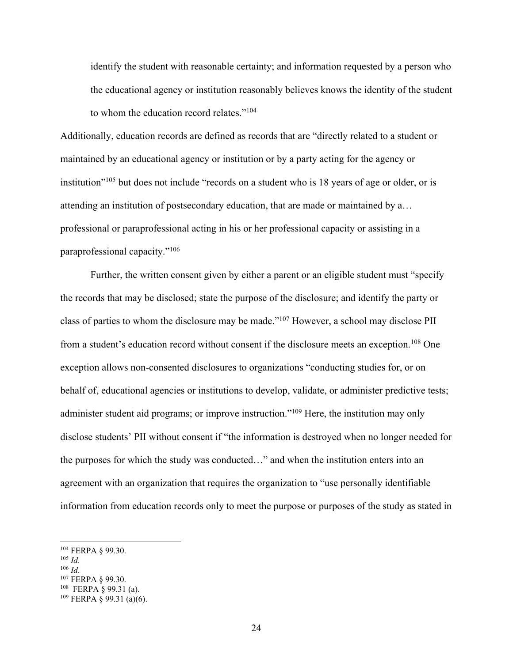identify the student with reasonable certainty; and information requested by a person who the educational agency or institution reasonably believes knows the identity of the student to whom the education record relates."104

Additionally, education records are defined as records that are "directly related to a student or maintained by an educational agency or institution or by a party acting for the agency or institution"105 but does not include "records on a student who is 18 years of age or older, or is attending an institution of postsecondary education, that are made or maintained by a… professional or paraprofessional acting in his or her professional capacity or assisting in a paraprofessional capacity."106

Further, the written consent given by either a parent or an eligible student must "specify the records that may be disclosed; state the purpose of the disclosure; and identify the party or class of parties to whom the disclosure may be made."107 However, a school may disclose PII from a student's education record without consent if the disclosure meets an exception.<sup>108</sup> One exception allows non-consented disclosures to organizations "conducting studies for, or on behalf of, educational agencies or institutions to develop, validate, or administer predictive tests; administer student aid programs; or improve instruction."<sup>109</sup> Here, the institution may only disclose students' PII without consent if "the information is destroyed when no longer needed for the purposes for which the study was conducted…" and when the institution enters into an agreement with an organization that requires the organization to "use personally identifiable information from education records only to meet the purpose or purposes of the study as stated in

- $\frac{105}{106}$  *Id.*
- 
- <sup>106</sup> *Id*. 107 FERPA § 99.30.
- 108 FERPA § 99.31 (a).

<sup>104</sup> FERPA § 99.30.

 $109$  FERPA § 99.31 (a)(6).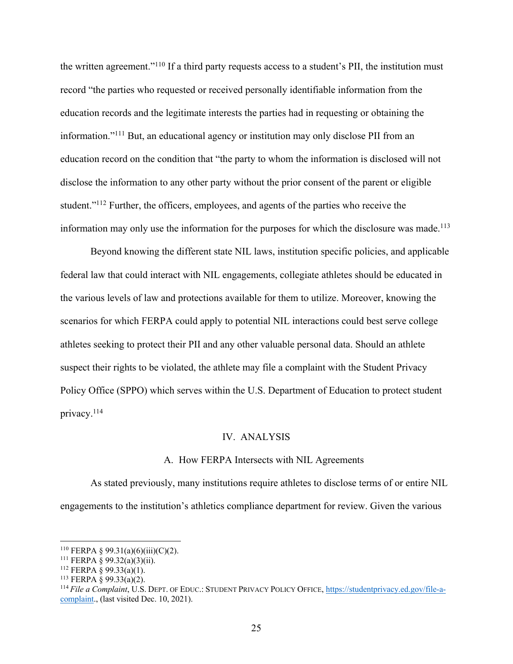the written agreement."110 If a third party requests access to a student's PII, the institution must record "the parties who requested or received personally identifiable information from the education records and the legitimate interests the parties had in requesting or obtaining the information."111 But, an educational agency or institution may only disclose PII from an education record on the condition that "the party to whom the information is disclosed will not disclose the information to any other party without the prior consent of the parent or eligible student."<sup>112</sup> Further, the officers, employees, and agents of the parties who receive the information may only use the information for the purposes for which the disclosure was made.<sup>113</sup>

Beyond knowing the different state NIL laws, institution specific policies, and applicable federal law that could interact with NIL engagements, collegiate athletes should be educated in the various levels of law and protections available for them to utilize. Moreover, knowing the scenarios for which FERPA could apply to potential NIL interactions could best serve college athletes seeking to protect their PII and any other valuable personal data. Should an athlete suspect their rights to be violated, the athlete may file a complaint with the Student Privacy Policy Office (SPPO) which serves within the U.S. Department of Education to protect student privacy.114

#### IV. ANALYSIS

#### A. How FERPA Intersects with NIL Agreements

As stated previously, many institutions require athletes to disclose terms of or entire NIL engagements to the institution's athletics compliance department for review. Given the various

<sup>&</sup>lt;sup>110</sup> FERPA § 99.31(a)(6)(iii)(C)(2).

<sup>111</sup> FERPA § 99.32(a)(3)(ii).

 $112$  FERPA § 99.33(a)(1).

<sup>&</sup>lt;sup>113</sup> FERPA  $\hat{\varphi}$  99.33(a)(2).

<sup>114</sup> *File a Complaint*, U.S. DEPT. OF EDUC.: STUDENT PRIVACY POLICY OFFICE, https://studentprivacy.ed.gov/file-acomplaint., (last visited Dec. 10, 2021).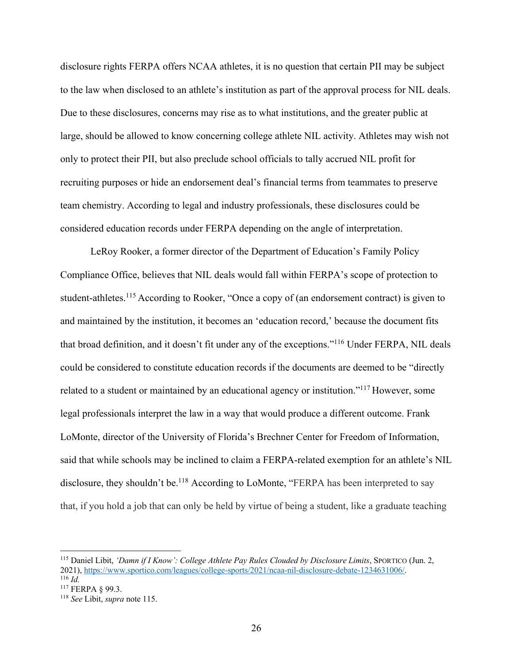disclosure rights FERPA offers NCAA athletes, it is no question that certain PII may be subject to the law when disclosed to an athlete's institution as part of the approval process for NIL deals. Due to these disclosures, concerns may rise as to what institutions, and the greater public at large, should be allowed to know concerning college athlete NIL activity. Athletes may wish not only to protect their PII, but also preclude school officials to tally accrued NIL profit for recruiting purposes or hide an endorsement deal's financial terms from teammates to preserve team chemistry. According to legal and industry professionals, these disclosures could be considered education records under FERPA depending on the angle of interpretation.

LeRoy Rooker, a former director of the Department of Education's Family Policy Compliance Office, believes that NIL deals would fall within FERPA's scope of protection to student-athletes.<sup>115</sup> According to Rooker, "Once a copy of (an endorsement contract) is given to and maintained by the institution, it becomes an 'education record,' because the document fits that broad definition, and it doesn't fit under any of the exceptions."116 Under FERPA, NIL deals could be considered to constitute education records if the documents are deemed to be "directly related to a student or maintained by an educational agency or institution."117 However, some legal professionals interpret the law in a way that would produce a different outcome. Frank LoMonte, director of the University of Florida's Brechner Center for Freedom of Information, said that while schools may be inclined to claim a FERPA-related exemption for an athlete's NIL disclosure, they shouldn't be.<sup>118</sup> According to LoMonte, "FERPA has been interpreted to say that, if you hold a job that can only be held by virtue of being a student, like a graduate teaching

<sup>115</sup> Daniel Libit, *'Damn if I Know': College Athlete Pay Rules Clouded by Disclosure Limits*, SPORTICO (Jun. 2, 2021), https://www.sportico.com/leagues/college-sports/2021/ncaa-nil-disclosure-debate-1234631006/. 116 *Id.*

<sup>117</sup> FERPA § 99.3.

<sup>118</sup> *See* Libit, *supra* note 115.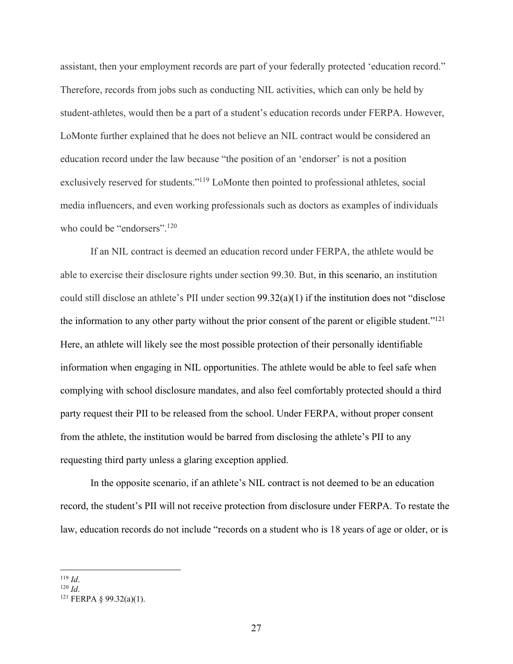assistant, then your employment records are part of your federally protected 'education record." Therefore, records from jobs such as conducting NIL activities, which can only be held by student-athletes, would then be a part of a student's education records under FERPA. However, LoMonte further explained that he does not believe an NIL contract would be considered an education record under the law because "the position of an 'endorser' is not a position exclusively reserved for students."119 LoMonte then pointed to professional athletes, social media influencers, and even working professionals such as doctors as examples of individuals who could be "endorsers".<sup>120</sup>

If an NIL contract is deemed an education record under FERPA, the athlete would be able to exercise their disclosure rights under section 99.30. But, in this scenario, an institution could still disclose an athlete's PII under section 99.32(a)(1) if the institution does not "disclose the information to any other party without the prior consent of the parent or eligible student." $^{121}$ Here, an athlete will likely see the most possible protection of their personally identifiable information when engaging in NIL opportunities. The athlete would be able to feel safe when complying with school disclosure mandates, and also feel comfortably protected should a third party request their PII to be released from the school. Under FERPA, without proper consent from the athlete, the institution would be barred from disclosing the athlete's PII to any requesting third party unless a glaring exception applied.

In the opposite scenario, if an athlete's NIL contract is not deemed to be an education record, the student's PII will not receive protection from disclosure under FERPA. To restate the law, education records do not include "records on a student who is 18 years of age or older, or is

<sup>119</sup> *Id.*<br><sup>120</sup> *Id.* 121 FERPA § 99.32(a)(1).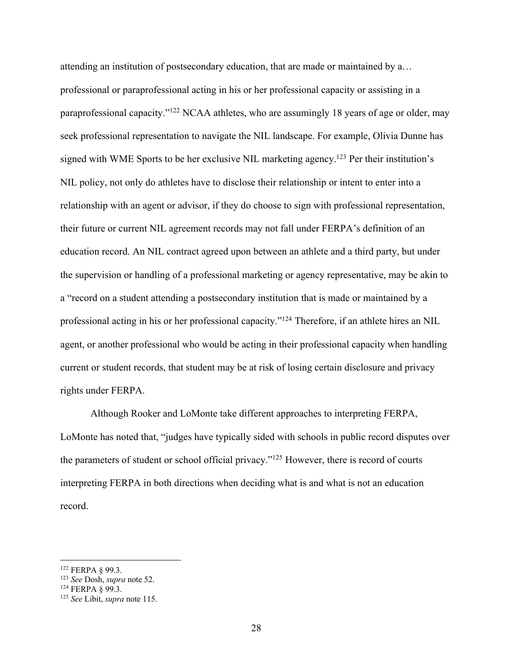attending an institution of postsecondary education, that are made or maintained by a… professional or paraprofessional acting in his or her professional capacity or assisting in a paraprofessional capacity."122 NCAA athletes, who are assumingly 18 years of age or older, may seek professional representation to navigate the NIL landscape. For example, Olivia Dunne has signed with WME Sports to be her exclusive NIL marketing agency.<sup>123</sup> Per their institution's NIL policy, not only do athletes have to disclose their relationship or intent to enter into a relationship with an agent or advisor, if they do choose to sign with professional representation, their future or current NIL agreement records may not fall under FERPA's definition of an education record. An NIL contract agreed upon between an athlete and a third party, but under the supervision or handling of a professional marketing or agency representative, may be akin to a "record on a student attending a postsecondary institution that is made or maintained by a professional acting in his or her professional capacity."124 Therefore, if an athlete hires an NIL agent, or another professional who would be acting in their professional capacity when handling current or student records, that student may be at risk of losing certain disclosure and privacy rights under FERPA.

Although Rooker and LoMonte take different approaches to interpreting FERPA, LoMonte has noted that, "judges have typically sided with schools in public record disputes over the parameters of student or school official privacy."125 However, there is record of courts interpreting FERPA in both directions when deciding what is and what is not an education record.

<sup>&</sup>lt;sup>122</sup> FERPA § 99.3.<br><sup>123</sup> *See* Dosh, *supra* note 52.

<sup>&</sup>lt;sup>124</sup> FERPA § 99.3.<br><sup>125</sup> *See* Libit, *supra* note 115.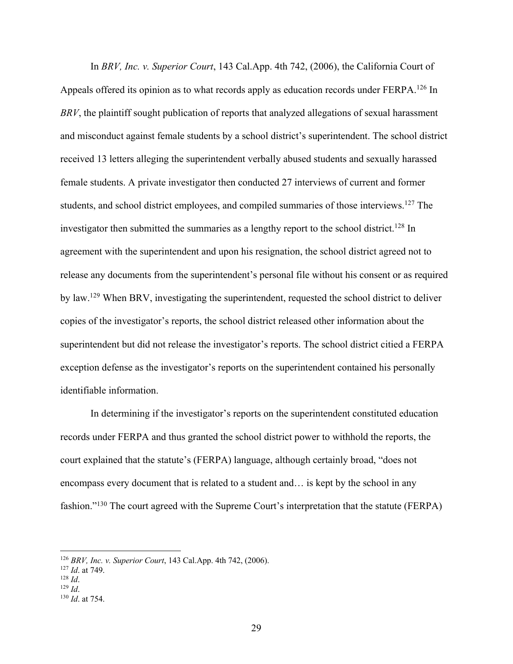In *BRV, Inc. v. Superior Court*, 143 Cal.App. 4th 742, (2006), the California Court of Appeals offered its opinion as to what records apply as education records under FERPA.<sup>126</sup> In *BRV*, the plaintiff sought publication of reports that analyzed allegations of sexual harassment and misconduct against female students by a school district's superintendent. The school district received 13 letters alleging the superintendent verbally abused students and sexually harassed female students. A private investigator then conducted 27 interviews of current and former students, and school district employees, and compiled summaries of those interviews.<sup>127</sup> The investigator then submitted the summaries as a lengthy report to the school district.<sup>128</sup> In agreement with the superintendent and upon his resignation, the school district agreed not to release any documents from the superintendent's personal file without his consent or as required by law.129 When BRV, investigating the superintendent, requested the school district to deliver copies of the investigator's reports, the school district released other information about the superintendent but did not release the investigator's reports. The school district citied a FERPA exception defense as the investigator's reports on the superintendent contained his personally identifiable information.

In determining if the investigator's reports on the superintendent constituted education records under FERPA and thus granted the school district power to withhold the reports, the court explained that the statute's (FERPA) language, although certainly broad, "does not encompass every document that is related to a student and… is kept by the school in any fashion."<sup>130</sup> The court agreed with the Supreme Court's interpretation that the statute (FERPA)

<sup>126</sup> *BRV, Inc. v. Superior Court*, 143 Cal.App. 4th 742, (2006).

<sup>127</sup> *Id*. at 749. 128 *Id*. 129 *Id*. 130 *Id*. at 754.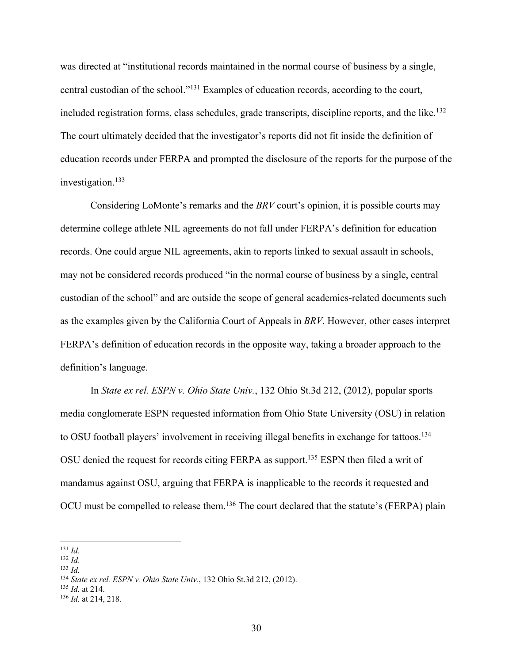was directed at "institutional records maintained in the normal course of business by a single, central custodian of the school."131 Examples of education records, according to the court, included registration forms, class schedules, grade transcripts, discipline reports, and the like.<sup>132</sup> The court ultimately decided that the investigator's reports did not fit inside the definition of education records under FERPA and prompted the disclosure of the reports for the purpose of the investigation.133

Considering LoMonte's remarks and the *BRV* court's opinion, it is possible courts may determine college athlete NIL agreements do not fall under FERPA's definition for education records. One could argue NIL agreements, akin to reports linked to sexual assault in schools, may not be considered records produced "in the normal course of business by a single, central custodian of the school" and are outside the scope of general academics-related documents such as the examples given by the California Court of Appeals in *BRV*. However, other cases interpret FERPA's definition of education records in the opposite way, taking a broader approach to the definition's language.

In *State ex rel. ESPN v. Ohio State Univ.*, 132 Ohio St.3d 212, (2012), popular sports media conglomerate ESPN requested information from Ohio State University (OSU) in relation to OSU football players' involvement in receiving illegal benefits in exchange for tattoos.<sup>134</sup> OSU denied the request for records citing FERPA as support. <sup>135</sup> ESPN then filed a writ of mandamus against OSU, arguing that FERPA is inapplicable to the records it requested and OCU must be compelled to release them.<sup>136</sup> The court declared that the statute's (FERPA) plain

- 131 *Id*. 132 *Id*. 133 *Id.*
- 

<sup>134</sup> *State ex rel. ESPN v. Ohio State Univ.*, 132 Ohio St.3d 212, (2012). 135 *Id.* at 214. 136 *Id.* at 214, 218.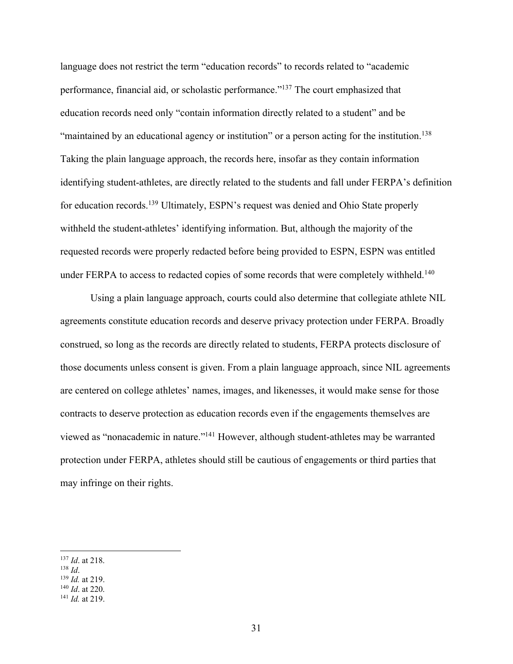language does not restrict the term "education records" to records related to "academic performance, financial aid, or scholastic performance."137 The court emphasized that education records need only "contain information directly related to a student" and be "maintained by an educational agency or institution" or a person acting for the institution.<sup>138</sup> Taking the plain language approach, the records here, insofar as they contain information identifying student-athletes, are directly related to the students and fall under FERPA's definition for education records.<sup>139</sup> Ultimately, ESPN's request was denied and Ohio State properly withheld the student-athletes' identifying information. But, although the majority of the requested records were properly redacted before being provided to ESPN, ESPN was entitled under FERPA to access to redacted copies of some records that were completely withheld.<sup>140</sup>

Using a plain language approach, courts could also determine that collegiate athlete NIL agreements constitute education records and deserve privacy protection under FERPA. Broadly construed, so long as the records are directly related to students, FERPA protects disclosure of those documents unless consent is given. From a plain language approach, since NIL agreements are centered on college athletes' names, images, and likenesses, it would make sense for those contracts to deserve protection as education records even if the engagements themselves are viewed as "nonacademic in nature."141 However, although student-athletes may be warranted protection under FERPA, athletes should still be cautious of engagements or third parties that may infringe on their rights.

<sup>137</sup> *Id*. at 218. 138 *Id*. 139 *Id.* at 219. 140 *Id*. at 220. 141 *Id.* at 219.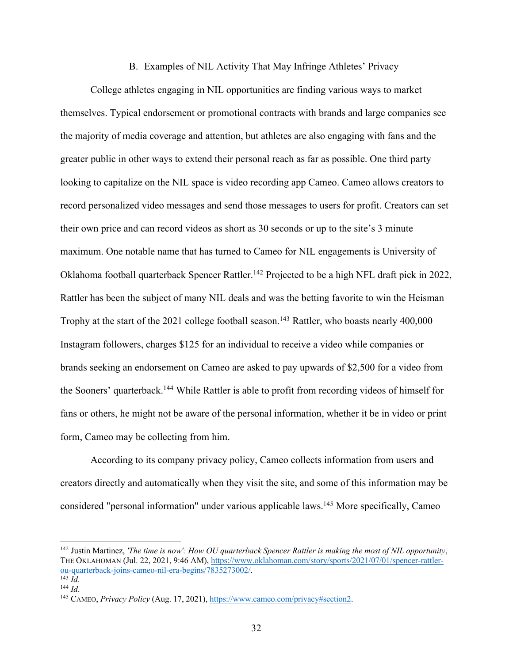### B. Examples of NIL Activity That May Infringe Athletes' Privacy

College athletes engaging in NIL opportunities are finding various ways to market themselves. Typical endorsement or promotional contracts with brands and large companies see the majority of media coverage and attention, but athletes are also engaging with fans and the greater public in other ways to extend their personal reach as far as possible. One third party looking to capitalize on the NIL space is video recording app Cameo. Cameo allows creators to record personalized video messages and send those messages to users for profit. Creators can set their own price and can record videos as short as 30 seconds or up to the site's 3 minute maximum. One notable name that has turned to Cameo for NIL engagements is University of Oklahoma football quarterback Spencer Rattler.<sup>142</sup> Projected to be a high NFL draft pick in 2022, Rattler has been the subject of many NIL deals and was the betting favorite to win the Heisman Trophy at the start of the 2021 college football season.<sup>143</sup> Rattler, who boasts nearly 400,000 Instagram followers, charges \$125 for an individual to receive a video while companies or brands seeking an endorsement on Cameo are asked to pay upwards of \$2,500 for a video from the Sooners' quarterback.144 While Rattler is able to profit from recording videos of himself for fans or others, he might not be aware of the personal information, whether it be in video or print form, Cameo may be collecting from him.

According to its company privacy policy, Cameo collects information from users and creators directly and automatically when they visit the site, and some of this information may be considered "personal information" under various applicable laws.145 More specifically, Cameo

<sup>142</sup> Justin Martinez, *'The time is now': How OU quarterback Spencer Rattler is making the most of NIL opportunity*, THE OKLAHOMAN (Jul. 22, 2021, 9:46 AM), https://www.oklahoman.com/story/sports/2021/07/01/spencer-rattlerou-quarterback-joins-cameo-nil-era-begins/7835273002/. 143 *Id*.

<sup>144</sup> *Id*. 145 CAMEO, *Privacy Policy* (Aug. 17, 2021), https://www.cameo.com/privacy#section2.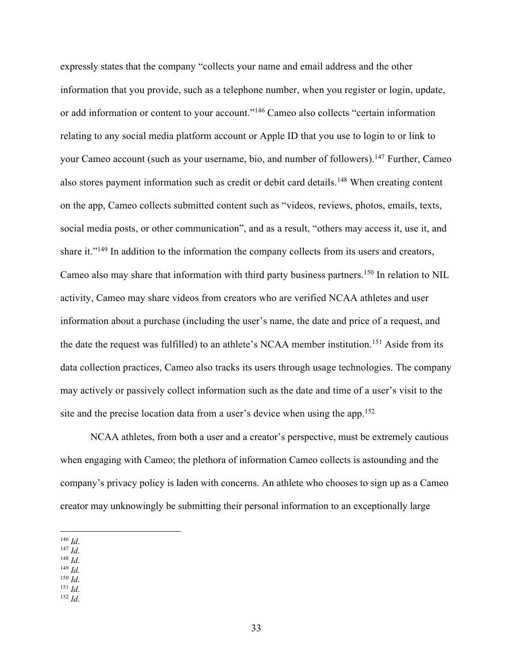expressly states that the company "collects your name and email address and the other information that you provide, such as a telephone number, when you register or login, update, or add information or content to your account."146 Cameo also collects "certain information relating to any social media platform account or Apple ID that you use to login to or link to your Cameo account (such as your username, bio, and number of followers).147 Further, Cameo also stores payment information such as credit or debit card details.<sup>148</sup> When creating content on the app, Cameo collects submitted content such as "videos, reviews, photos, emails, texts, social media posts, or other communication", and as a result, "others may access it, use it, and share it."<sup>149</sup> In addition to the information the company collects from its users and creators, Cameo also may share that information with third party business partners.150 In relation to NIL activity, Cameo may share videos from creators who are verified NCAA athletes and user information about a purchase (including the user's name, the date and price of a request, and the date the request was fulfilled) to an athlete's NCAA member institution.<sup>151</sup> Aside from its data collection practices, Cameo also tracks its users through usage technologies. The company may actively or passively collect information such as the date and time of a user's visit to the site and the precise location data from a user's device when using the app.<sup>152</sup>

NCAA athletes, from both a user and a creator's perspective, must be extremely cautious when engaging with Cameo; the plethora of information Cameo collects is astounding and the company's privacy policy is laden with concerns. An athlete who chooses to sign up as a Cameo creator may unknowingly be submitting their personal information to an exceptionally large

- 
- 146 *Id*. 147 *Id*. 148 *Id*. 149 *Id.*
- 
- 150 *Id*. 151 *Id*. 152 *Id*.
-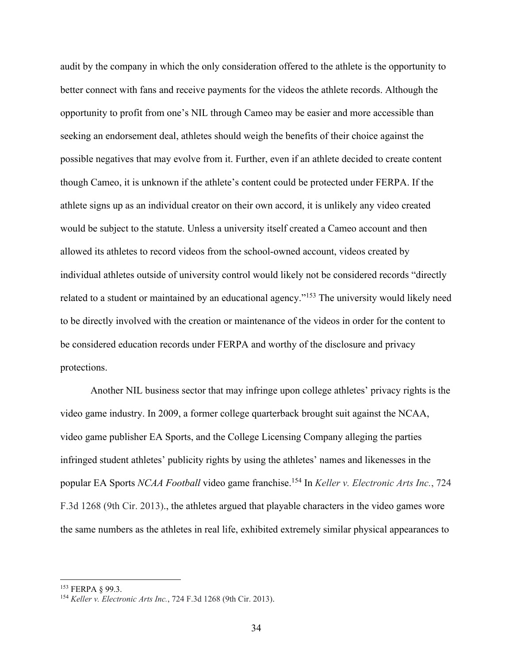audit by the company in which the only consideration offered to the athlete is the opportunity to better connect with fans and receive payments for the videos the athlete records. Although the opportunity to profit from one's NIL through Cameo may be easier and more accessible than seeking an endorsement deal, athletes should weigh the benefits of their choice against the possible negatives that may evolve from it. Further, even if an athlete decided to create content though Cameo, it is unknown if the athlete's content could be protected under FERPA. If the athlete signs up as an individual creator on their own accord, it is unlikely any video created would be subject to the statute. Unless a university itself created a Cameo account and then allowed its athletes to record videos from the school-owned account, videos created by individual athletes outside of university control would likely not be considered records "directly related to a student or maintained by an educational agency."153 The university would likely need to be directly involved with the creation or maintenance of the videos in order for the content to be considered education records under FERPA and worthy of the disclosure and privacy protections.

Another NIL business sector that may infringe upon college athletes' privacy rights is the video game industry. In 2009, a former college quarterback brought suit against the NCAA, video game publisher EA Sports, and the College Licensing Company alleging the parties infringed student athletes' publicity rights by using the athletes' names and likenesses in the popular EA Sports *NCAA Football* video game franchise. <sup>154</sup> In *Keller v. Electronic Arts Inc.*, 724 F.3d 1268 (9th Cir. 2013)., the athletes argued that playable characters in the video games wore the same numbers as the athletes in real life, exhibited extremely similar physical appearances to

<sup>153</sup> FERPA § 99.3. 154 *Keller v. Electronic Arts Inc.*, 724 F.3d 1268 (9th Cir. 2013).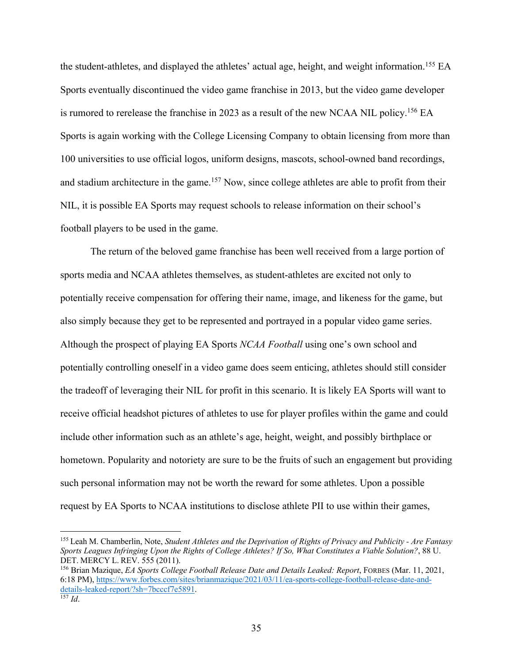the student-athletes, and displayed the athletes' actual age, height, and weight information.155 EA Sports eventually discontinued the video game franchise in 2013, but the video game developer is rumored to rerelease the franchise in 2023 as a result of the new NCAA NIL policy.156 EA Sports is again working with the College Licensing Company to obtain licensing from more than 100 universities to use official logos, uniform designs, mascots, school-owned band recordings, and stadium architecture in the game.<sup>157</sup> Now, since college athletes are able to profit from their NIL, it is possible EA Sports may request schools to release information on their school's football players to be used in the game.

The return of the beloved game franchise has been well received from a large portion of sports media and NCAA athletes themselves, as student-athletes are excited not only to potentially receive compensation for offering their name, image, and likeness for the game, but also simply because they get to be represented and portrayed in a popular video game series. Although the prospect of playing EA Sports *NCAA Football* using one's own school and potentially controlling oneself in a video game does seem enticing, athletes should still consider the tradeoff of leveraging their NIL for profit in this scenario. It is likely EA Sports will want to receive official headshot pictures of athletes to use for player profiles within the game and could include other information such as an athlete's age, height, weight, and possibly birthplace or hometown. Popularity and notoriety are sure to be the fruits of such an engagement but providing such personal information may not be worth the reward for some athletes. Upon a possible request by EA Sports to NCAA institutions to disclose athlete PII to use within their games,

<sup>155</sup> Leah M. Chamberlin, Note, *Student Athletes and the Deprivation of Rights of Privacy and Publicity - Are Fantasy Sports Leagues Infringing Upon the Rights of College Athletes? If So, What Constitutes a Viable Solution?*, 88 U. DET. MERCY L. REV. 555 (2011).

<sup>156</sup> Brian Mazique, *EA Sports College Football Release Date and Details Leaked: Report*, FORBES (Mar. 11, 2021, 6:18 PM), https://www.forbes.com/sites/brianmazique/2021/03/11/ea-sports-college-football-release-date-anddetails-leaked-report/?sh=7bcccf7e5891. 157 *Id*.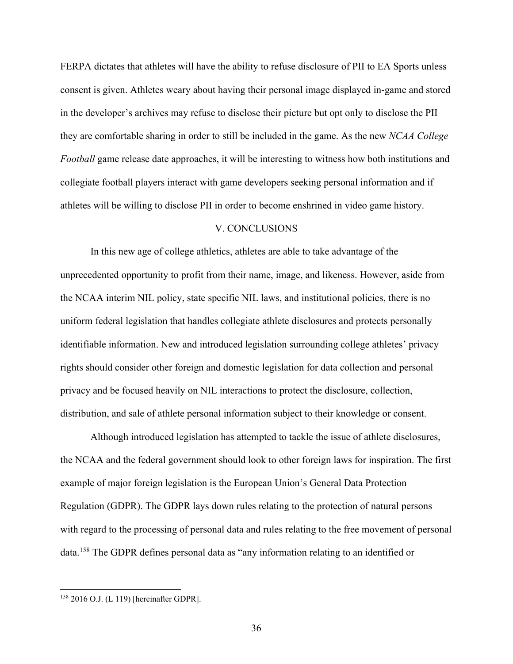FERPA dictates that athletes will have the ability to refuse disclosure of PII to EA Sports unless consent is given. Athletes weary about having their personal image displayed in-game and stored in the developer's archives may refuse to disclose their picture but opt only to disclose the PII they are comfortable sharing in order to still be included in the game. As the new *NCAA College Football* game release date approaches, it will be interesting to witness how both institutions and collegiate football players interact with game developers seeking personal information and if athletes will be willing to disclose PII in order to become enshrined in video game history.

### V. CONCLUSIONS

In this new age of college athletics, athletes are able to take advantage of the unprecedented opportunity to profit from their name, image, and likeness. However, aside from the NCAA interim NIL policy, state specific NIL laws, and institutional policies, there is no uniform federal legislation that handles collegiate athlete disclosures and protects personally identifiable information. New and introduced legislation surrounding college athletes' privacy rights should consider other foreign and domestic legislation for data collection and personal privacy and be focused heavily on NIL interactions to protect the disclosure, collection, distribution, and sale of athlete personal information subject to their knowledge or consent.

Although introduced legislation has attempted to tackle the issue of athlete disclosures, the NCAA and the federal government should look to other foreign laws for inspiration. The first example of major foreign legislation is the European Union's General Data Protection Regulation (GDPR). The GDPR lays down rules relating to the protection of natural persons with regard to the processing of personal data and rules relating to the free movement of personal data.158 The GDPR defines personal data as "any information relating to an identified or

<sup>158</sup> 2016 O.J. (L 119) [hereinafter GDPR].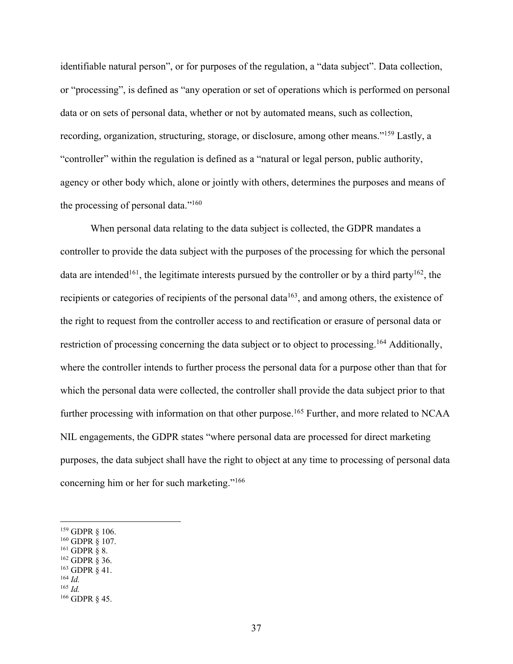identifiable natural person", or for purposes of the regulation, a "data subject". Data collection, or "processing", is defined as "any operation or set of operations which is performed on personal data or on sets of personal data, whether or not by automated means, such as collection, recording, organization, structuring, storage, or disclosure, among other means."159 Lastly, a "controller" within the regulation is defined as a "natural or legal person, public authority, agency or other body which, alone or jointly with others, determines the purposes and means of the processing of personal data."160

When personal data relating to the data subject is collected, the GDPR mandates a controller to provide the data subject with the purposes of the processing for which the personal data are intended<sup>161</sup>, the legitimate interests pursued by the controller or by a third party<sup>162</sup>, the recipients or categories of recipients of the personal data<sup>163</sup>, and among others, the existence of the right to request from the controller access to and rectification or erasure of personal data or restriction of processing concerning the data subject or to object to processing.<sup>164</sup> Additionally, where the controller intends to further process the personal data for a purpose other than that for which the personal data were collected, the controller shall provide the data subject prior to that further processing with information on that other purpose.<sup>165</sup> Further, and more related to NCAA NIL engagements, the GDPR states "where personal data are processed for direct marketing purposes, the data subject shall have the right to object at any time to processing of personal data concerning him or her for such marketing."166

- 160 GDPR § 107.<br>
161 GDPR § 8.<br>
162 GDPR § 36.<br>
163 GDPR § 41.<br>
164 *Id.*
- 
- 

<sup>159</sup> GDPR § 106.

<sup>165</sup> *Id.*

<sup>166</sup> GDPR § 45.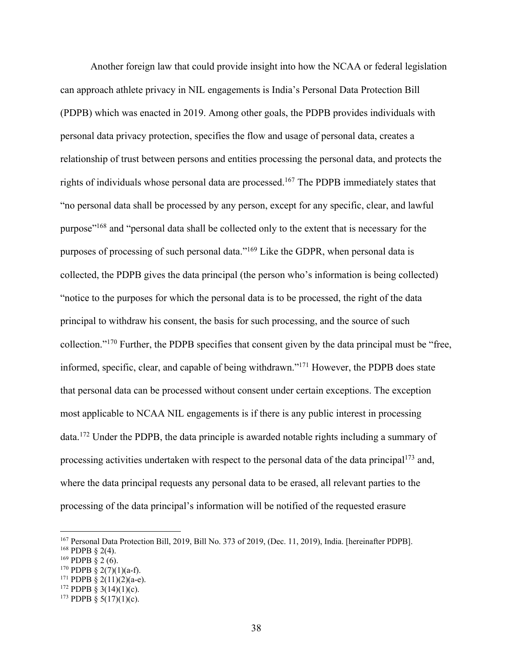Another foreign law that could provide insight into how the NCAA or federal legislation can approach athlete privacy in NIL engagements is India's Personal Data Protection Bill (PDPB) which was enacted in 2019. Among other goals, the PDPB provides individuals with personal data privacy protection, specifies the flow and usage of personal data, creates a relationship of trust between persons and entities processing the personal data, and protects the rights of individuals whose personal data are processed. <sup>167</sup> The PDPB immediately states that "no personal data shall be processed by any person, except for any specific, clear, and lawful purpose"<sup>168</sup> and "personal data shall be collected only to the extent that is necessary for the purposes of processing of such personal data."169 Like the GDPR, when personal data is collected, the PDPB gives the data principal (the person who's information is being collected) "notice to the purposes for which the personal data is to be processed, the right of the data principal to withdraw his consent, the basis for such processing, and the source of such collection."170 Further, the PDPB specifies that consent given by the data principal must be "free, informed, specific, clear, and capable of being withdrawn."171 However, the PDPB does state that personal data can be processed without consent under certain exceptions. The exception most applicable to NCAA NIL engagements is if there is any public interest in processing data.172 Under the PDPB, the data principle is awarded notable rights including a summary of processing activities undertaken with respect to the personal data of the data principal<sup>173</sup> and, where the data principal requests any personal data to be erased, all relevant parties to the processing of the data principal's information will be notified of the requested erasure

<sup>&</sup>lt;sup>167</sup> Personal Data Protection Bill, 2019, Bill No. 373 of 2019, (Dec. 11, 2019), India. [hereinafter PDPB]. <sup>168</sup> PDPB § 2(4).

 $169$  PDPB § 2 (6).

 $170$  PDPB § 2(7)(1)(a-f).

<sup>&</sup>lt;sup>171</sup> PDPB  $\frac{2(11)(2)(a-e)}{2}$ .

<sup>&</sup>lt;sup>172</sup> PDPB § 3(14)(1)(c).

<sup>&</sup>lt;sup>173</sup> PDPB § 5(17)(1)(c).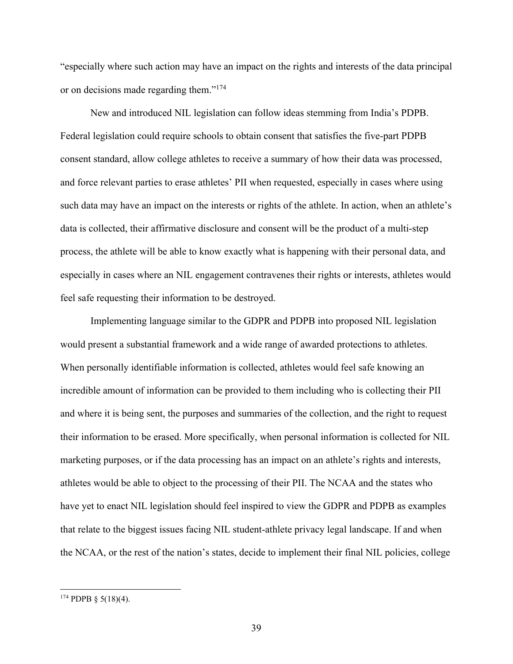"especially where such action may have an impact on the rights and interests of the data principal or on decisions made regarding them."174

New and introduced NIL legislation can follow ideas stemming from India's PDPB. Federal legislation could require schools to obtain consent that satisfies the five-part PDPB consent standard, allow college athletes to receive a summary of how their data was processed, and force relevant parties to erase athletes' PII when requested, especially in cases where using such data may have an impact on the interests or rights of the athlete. In action, when an athlete's data is collected, their affirmative disclosure and consent will be the product of a multi-step process, the athlete will be able to know exactly what is happening with their personal data, and especially in cases where an NIL engagement contravenes their rights or interests, athletes would feel safe requesting their information to be destroyed.

Implementing language similar to the GDPR and PDPB into proposed NIL legislation would present a substantial framework and a wide range of awarded protections to athletes. When personally identifiable information is collected, athletes would feel safe knowing an incredible amount of information can be provided to them including who is collecting their PII and where it is being sent, the purposes and summaries of the collection, and the right to request their information to be erased. More specifically, when personal information is collected for NIL marketing purposes, or if the data processing has an impact on an athlete's rights and interests, athletes would be able to object to the processing of their PII. The NCAA and the states who have yet to enact NIL legislation should feel inspired to view the GDPR and PDPB as examples that relate to the biggest issues facing NIL student-athlete privacy legal landscape. If and when the NCAA, or the rest of the nation's states, decide to implement their final NIL policies, college

 $174$  PDPB § 5(18)(4).